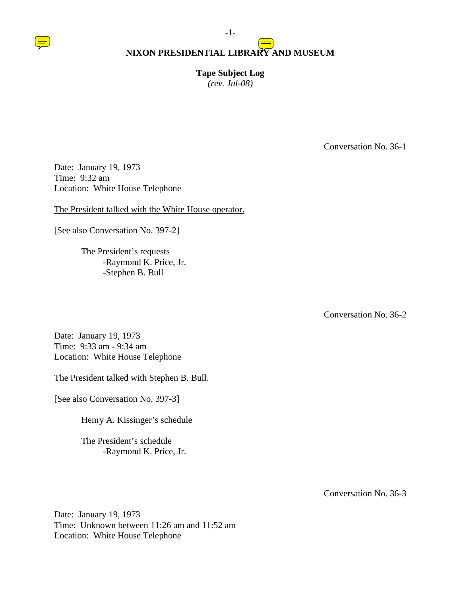

**Tape Subject Log**  *(rev. Jul-08)* 

Conversation No. 36-1

Date: January 19, 1973 Time: 9:32 am Location: White House Telephone

The President talked with the White House operator.

[See also Conversation No. 397-2]

 The President's requests -Raymond K. Price, Jr. -Stephen B. Bull

Conversation No. 36-2

Date: January 19, 1973 Time: 9:33 am - 9:34 am Location: White House Telephone

The President talked with Stephen B. Bull.

[See also Conversation No. 397-3]

Henry A. Kissinger's schedule

 The President's schedule -Raymond K. Price, Jr.

Conversation No. 36-3

Date: January 19, 1973 Time: Unknown between 11:26 am and 11:52 am Location: White House Telephone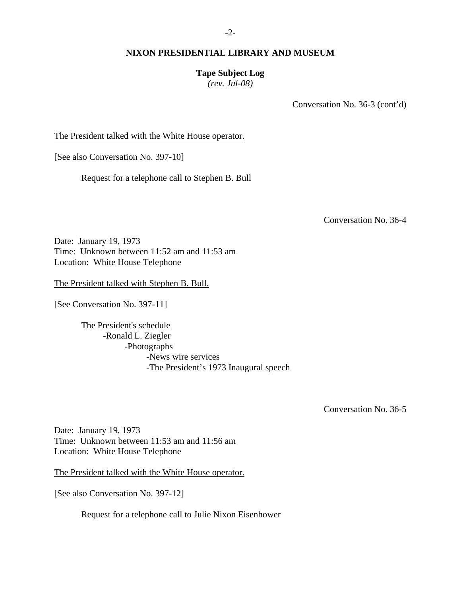#### **Tape Subject Log**

*(rev. Jul-08)* 

Conversation No. 36-3 (cont'd)

The President talked with the White House operator.

[See also Conversation No. 397-10]

Request for a telephone call to Stephen B. Bull

Conversation No. 36-4

Date: January 19, 1973 Time: Unknown between 11:52 am and 11:53 am Location: White House Telephone

The President talked with Stephen B. Bull.

[See Conversation No. 397-11]

 The President's schedule -Ronald L. Ziegler -Photographs -News wire services -The President's 1973 Inaugural speech

Conversation No. 36-5

Date: January 19, 1973 Time: Unknown between 11:53 am and 11:56 am Location: White House Telephone

The President talked with the White House operator.

[See also Conversation No. 397-12]

Request for a telephone call to Julie Nixon Eisenhower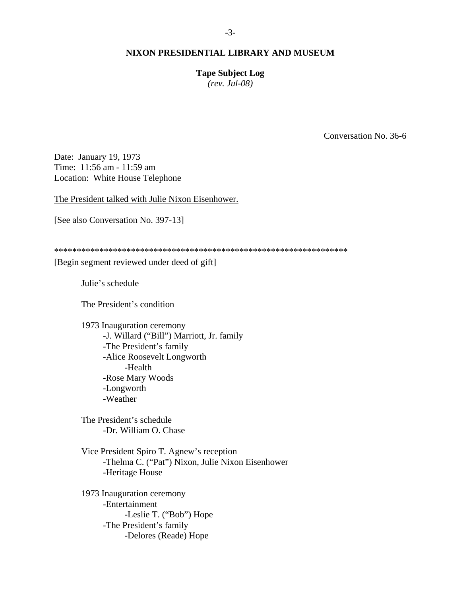**Tape Subject Log** 

*(rev. Jul-08)* 

Conversation No. 36-6

Date: January 19, 1973 Time: 11:56 am - 11:59 am Location: White House Telephone

The President talked with Julie Nixon Eisenhower.

[See also Conversation No. 397-13]

\*\*\*\*\*\*\*\*\*\*\*\*\*\*\*\*\*\*\*\*\*\*\*\*\*\*\*\*\*\*\*\*\*\*\*\*\*\*\*\*\*\*\*\*\*\*\*\*\*\*\*\*\*\*\*\*\*\*\*\*\*\*\*\*\*

[Begin segment reviewed under deed of gift]

Julie's schedule

The President's condition

 1973 Inauguration ceremony -J. Willard ("Bill") Marriott, Jr. family -The President's family -Alice Roosevelt Longworth -Health -Rose Mary Woods -Longworth -Weather

 The President's schedule -Dr. William O. Chase

 Vice President Spiro T. Agnew's reception -Thelma C. ("Pat") Nixon, Julie Nixon Eisenhower -Heritage House

 1973 Inauguration ceremony -Entertainment -Leslie T. ("Bob") Hope -The President's family -Delores (Reade) Hope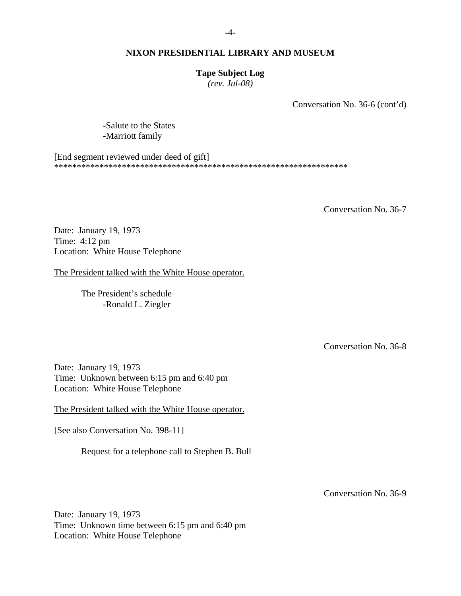#### **Tape Subject Log**

*(rev. Jul-08)* 

Conversation No. 36-6 (cont'd)

 -Salute to the States -Marriott family

[End segment reviewed under deed of gift] \*\*\*\*\*\*\*\*\*\*\*\*\*\*\*\*\*\*\*\*\*\*\*\*\*\*\*\*\*\*\*\*\*\*\*\*\*\*\*\*\*\*\*\*\*\*\*\*\*\*\*\*\*\*\*\*\*\*\*\*\*\*\*\*\*

Conversation No. 36-7

Date: January 19, 1973 Time: 4:12 pm Location: White House Telephone

The President talked with the White House operator.

 The President's schedule -Ronald L. Ziegler

Conversation No. 36-8

Date: January 19, 1973 Time: Unknown between 6:15 pm and 6:40 pm Location: White House Telephone

The President talked with the White House operator.

[See also Conversation No. 398-11]

Request for a telephone call to Stephen B. Bull

Conversation No. 36-9

Date: January 19, 1973 Time: Unknown time between 6:15 pm and 6:40 pm Location: White House Telephone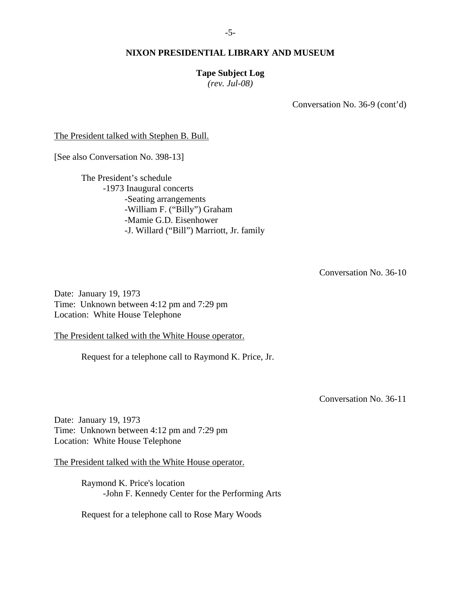#### **Tape Subject Log**

*(rev. Jul-08)* 

Conversation No. 36-9 (cont'd)

The President talked with Stephen B. Bull.

[See also Conversation No. 398-13]

 The President's schedule -1973 Inaugural concerts -Seating arrangements -William F. ("Billy") Graham -Mamie G.D. Eisenhower -J. Willard ("Bill") Marriott, Jr. family

Conversation No. 36-10

Date: January 19, 1973 Time: Unknown between 4:12 pm and 7:29 pm Location: White House Telephone

The President talked with the White House operator.

Request for a telephone call to Raymond K. Price, Jr.

Conversation No. 36-11

Date: January 19, 1973 Time: Unknown between 4:12 pm and 7:29 pm Location: White House Telephone

The President talked with the White House operator.

 Raymond K. Price's location -John F. Kennedy Center for the Performing Arts

Request for a telephone call to Rose Mary Woods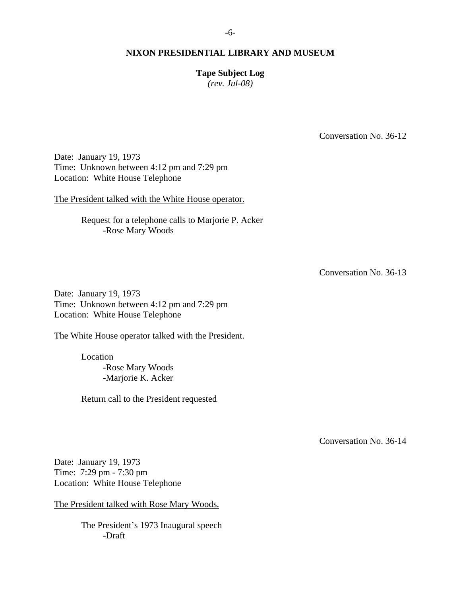#### -6-

#### **NIXON PRESIDENTIAL LIBRARY AND MUSEUM**

## **Tape Subject Log**

*(rev. Jul-08)* 

Conversation No. 36-12

Date: January 19, 1973 Time: Unknown between 4:12 pm and 7:29 pm Location: White House Telephone

The President talked with the White House operator.

 Request for a telephone calls to Marjorie P. Acker -Rose Mary Woods

Conversation No. 36-13

Date: January 19, 1973 Time: Unknown between 4:12 pm and 7:29 pm Location: White House Telephone

The White House operator talked with the President.

 Location -Rose Mary Woods -Marjorie K. Acker

Return call to the President requested

Conversation No. 36-14

Date: January 19, 1973 Time: 7:29 pm - 7:30 pm Location: White House Telephone

The President talked with Rose Mary Woods.

 The President's 1973 Inaugural speech -Draft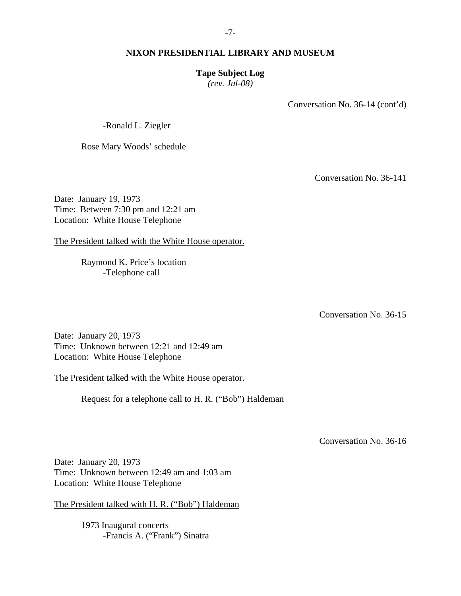#### **Tape Subject Log**

*(rev. Jul-08)* 

Conversation No. 36-14 (cont'd)

-Ronald L. Ziegler

Rose Mary Woods' schedule

Conversation No. 36-141

Date: January 19, 1973 Time: Between 7:30 pm and 12:21 am Location: White House Telephone

The President talked with the White House operator.

 Raymond K. Price's location -Telephone call

Conversation No. 36-15

Date: January 20, 1973 Time: Unknown between 12:21 and 12:49 am Location: White House Telephone

The President talked with the White House operator.

Request for a telephone call to H. R. ("Bob") Haldeman

Conversation No. 36-16

Date: January 20, 1973 Time: Unknown between 12:49 am and 1:03 am Location: White House Telephone

The President talked with H. R. ("Bob") Haldeman

 1973 Inaugural concerts -Francis A. ("Frank") Sinatra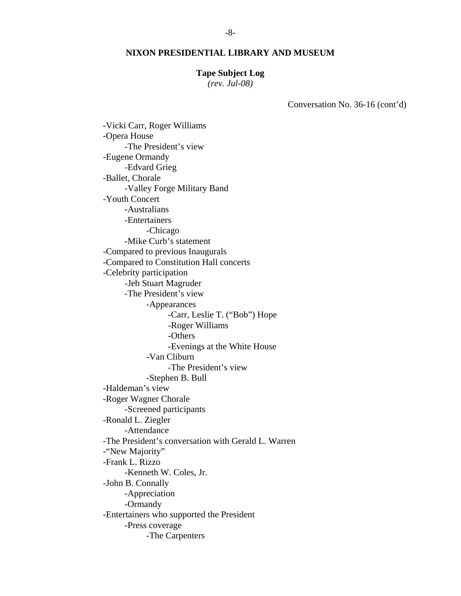#### **Tape Subject Log**

*(rev. Jul-08)* 

Conversation No. 36-16 (cont'd)

 -Vicki Carr, Roger Williams -Opera House -The President's view -Eugene Ormandy -Edvard Grieg -Ballet, Chorale -Valley Forge Military Band -Youth Concert -Australians -Entertainers -Chicago -Mike Curb's statement -Compared to previous Inaugurals -Compared to Constitution Hall concerts -Celebrity participation -Jeb Stuart Magruder -The President's view -Appearances -Carr, Leslie T. ("Bob") Hope -Roger Williams -Others -Evenings at the White House -Van Cliburn -The President's view -Stephen B. Bull -Haldeman's view -Roger Wagner Chorale -Screened participants -Ronald L. Ziegler -Attendance -The President's conversation with Gerald L. Warren -"New Majority" -Frank L. Rizzo -Kenneth W. Coles, Jr. -John B. Connally -Appreciation -Ormandy -Entertainers who supported the President -Press coverage -The Carpenters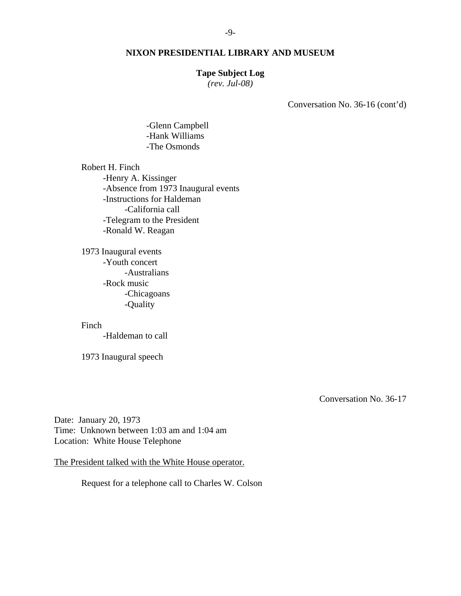#### -9-

## **NIXON PRESIDENTIAL LIBRARY AND MUSEUM**

#### **Tape Subject Log**

*(rev. Jul-08)* 

Conversation No. 36-16 (cont'd)

 -Glenn Campbell -Hank Williams -The Osmonds

 Robert H. Finch -Henry A. Kissinger -Absence from 1973 Inaugural events -Instructions for Haldeman -California call -Telegram to the President -Ronald W. Reagan

 1973 Inaugural events -Youth concert -Australians -Rock music -Chicagoans -Quality

Finch

-Haldeman to call

1973 Inaugural speech

Conversation No. 36-17

Date: January 20, 1973 Time: Unknown between 1:03 am and 1:04 am Location: White House Telephone

The President talked with the White House operator.

Request for a telephone call to Charles W. Colson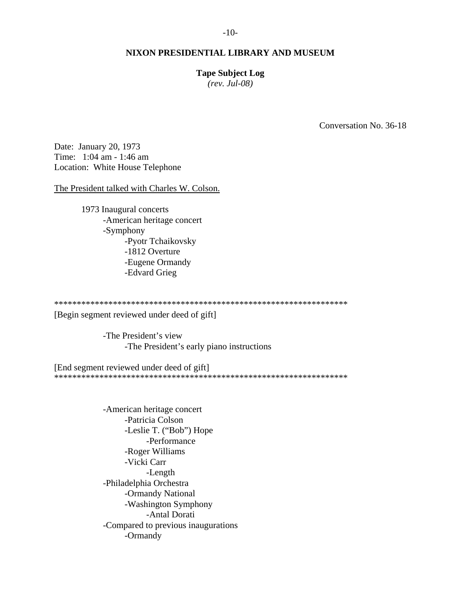#### **Tape Subject Log**

*(rev. Jul-08)* 

Conversation No. 36-18

Date: January 20, 1973 Time: 1:04 am - 1:46 am Location: White House Telephone

The President talked with Charles W. Colson.

 1973 Inaugural concerts -American heritage concert -Symphony -Pyotr Tchaikovsky -1812 Overture -Eugene Ormandy -Edvard Grieg

\*\*\*\*\*\*\*\*\*\*\*\*\*\*\*\*\*\*\*\*\*\*\*\*\*\*\*\*\*\*\*\*\*\*\*\*\*\*\*\*\*\*\*\*\*\*\*\*\*\*\*\*\*\*\*\*\*\*\*\*\*\*\*\*\*

[Begin segment reviewed under deed of gift]

 -The President's view -The President's early piano instructions

[End segment reviewed under deed of gift] \*\*\*\*\*\*\*\*\*\*\*\*\*\*\*\*\*\*\*\*\*\*\*\*\*\*\*\*\*\*\*\*\*\*\*\*\*\*\*\*\*\*\*\*\*\*\*\*\*\*\*\*\*\*\*\*\*\*\*\*\*\*\*\*\*

> -American heritage concert -Patricia Colson -Leslie T. ("Bob") Hope -Performance -Roger Williams -Vicki Carr -Length -Philadelphia Orchestra -Ormandy National -Washington Symphony -Antal Dorati -Compared to previous inaugurations -Ormandy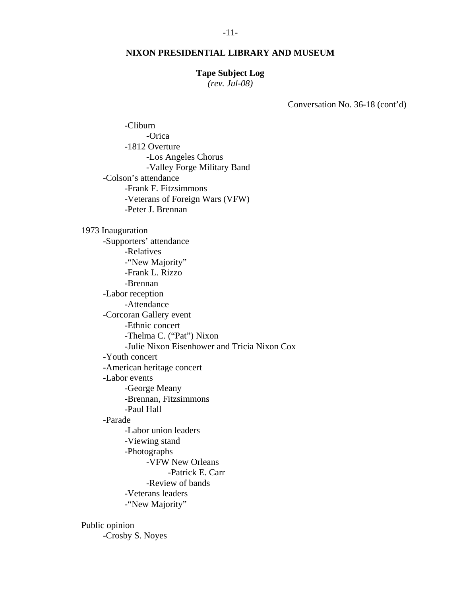#### **Tape Subject Log**

*(rev. Jul-08)* 

Conversation No. 36-18 (cont'd)

 -Cliburn -Orica -1812 Overture -Los Angeles Chorus -Valley Forge Military Band -Colson's attendance -Frank F. Fitzsimmons -Veterans of Foreign Wars (VFW) -Peter J. Brennan 1973 Inauguration -Supporters' attendance -Relatives -"New Majority" -Frank L. Rizzo -Brennan -Labor reception -Attendance -Corcoran Gallery event -Ethnic concert -Thelma C. ("Pat") Nixon -Julie Nixon Eisenhower and Tricia Nixon Cox -Youth concert -American heritage concert -Labor events -George Meany -Brennan, Fitzsimmons -Paul Hall -Parade -Labor union leaders -Viewing stand -Photographs -VFW New Orleans -Patrick E. Carr -Review of bands -Veterans leaders -"New Majority"

 Public opinion -Crosby S. Noyes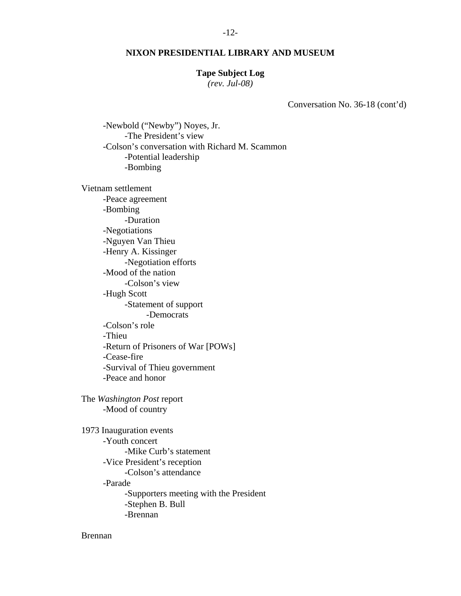#### -12-

#### **NIXON PRESIDENTIAL LIBRARY AND MUSEUM**

#### **Tape Subject Log**

*(rev. Jul-08)* 

Conversation No. 36-18 (cont'd)

 -Newbold ("Newby") Noyes, Jr. -The President's view -Colson's conversation with Richard M. Scammon -Potential leadership -Bombing

 Vietnam settlement -Peace agreement -Bombing -Duration -Negotiations -Nguyen Van Thieu -Henry A. Kissinger -Negotiation efforts -Mood of the nation -Colson's view -Hugh Scott -Statement of support -Democrats -Colson's role -Thieu -Return of Prisoners of War [POWs] -Cease-fire -Survival of Thieu government -Peace and honor

 The *Washington Post* report -Mood of country

 1973 Inauguration events -Youth concert -Mike Curb's statement -Vice President's reception -Colson's attendance -Parade -Supporters meeting with the President -Stephen B. Bull -Brennan

Brennan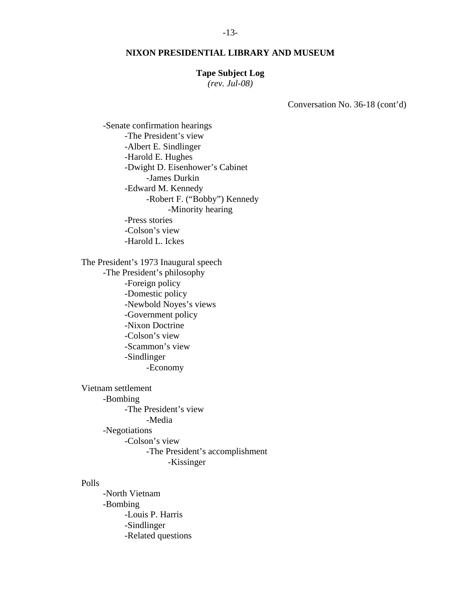#### **Tape Subject Log**

*(rev. Jul-08)* 

Conversation No. 36-18 (cont'd)

 -Senate confirmation hearings -The President's view -Albert E. Sindlinger -Harold E. Hughes -Dwight D. Eisenhower's Cabinet -James Durkin -Edward M. Kennedy -Robert F. ("Bobby") Kennedy -Minority hearing -Press stories -Colson's view -Harold L. Ickes

 The President's 1973 Inaugural speech -The President's philosophy -Foreign policy -Domestic policy -Newbold Noyes's views -Government policy -Nixon Doctrine -Colson's view -Scammon's view -Sindlinger -Economy Vietnam settlement -Bombing

 -The President's view -Media -Negotiations -Colson's view -The President's accomplishment -Kissinger

#### Polls

 -North Vietnam -Bombing -Louis P. Harris -Sindlinger -Related questions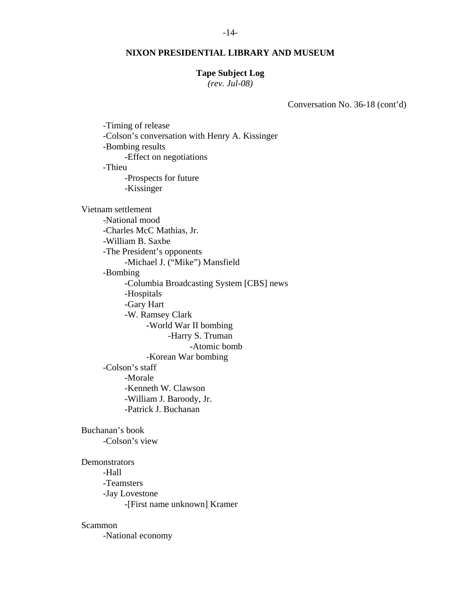#### -14-

#### **NIXON PRESIDENTIAL LIBRARY AND MUSEUM**

#### **Tape Subject Log**

*(rev. Jul-08)* 

Conversation No. 36-18 (cont'd)

 -Timing of release -Colson's conversation with Henry A. Kissinger -Bombing results -Effect on negotiations -Thieu -Prospects for future -Kissinger Vietnam settlement -National mood -Charles McC Mathias, Jr. -William B. Saxbe -The President's opponents -Michael J. ("Mike") Mansfield -Bombing -Columbia Broadcasting System [CBS] news -Hospitals -Gary Hart -W. Ramsey Clark -World War II bombing -Harry S. Truman -Atomic bomb -Korean War bombing -Colson's staff -Morale -Kenneth W. Clawson -William J. Baroody, Jr. -Patrick J. Buchanan

 Buchanan's book -Colson's view

**Demonstrators**  -Hall -Teamsters -Jay Lovestone -[First name unknown] Kramer

Scammon

-National economy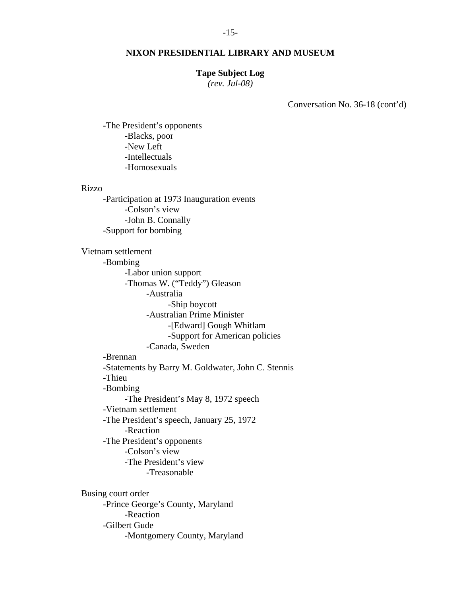#### **Tape Subject Log**

*(rev. Jul-08)* 

Conversation No. 36-18 (cont'd)

 -The President's opponents -Blacks, poor -New Left -Intellectuals -Homosexuals

#### Rizzo

 -Participation at 1973 Inauguration events -Colson's view -John B. Connally -Support for bombing

 Vietnam settlement -Bombing -Labor union support -Thomas W. ("Teddy") Gleason -Australia -Ship boycott -Australian Prime Minister -[Edward] Gough Whitlam -Support for American policies -Canada, Sweden -Brennan -Statements by Barry M. Goldwater, John C. Stennis -Thieu -Bombing -The President's May 8, 1972 speech -Vietnam settlement -The President's speech, January 25, 1972 -Reaction -The President's opponents -Colson's view -The President's view -Treasonable Busing court order -Prince George's County, Maryland -Reaction -Gilbert Gude -Montgomery County, Maryland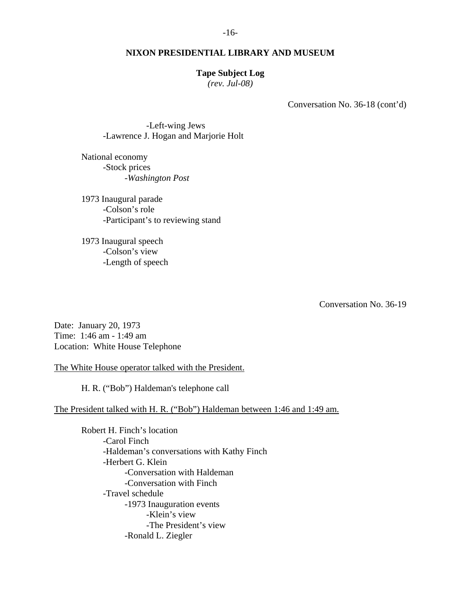#### **Tape Subject Log**

*(rev. Jul-08)* 

Conversation No. 36-18 (cont'd)

 -Left-wing Jews -Lawrence J. Hogan and Marjorie Holt

 National economy -Stock prices -*Washington Post*

 1973 Inaugural parade -Colson's role -Participant's to reviewing stand

 1973 Inaugural speech -Colson's view -Length of speech

Conversation No. 36-19

Date: January 20, 1973 Time: 1:46 am - 1:49 am Location: White House Telephone

The White House operator talked with the President.

H. R. ("Bob") Haldeman's telephone call

## The President talked with H. R. ("Bob") Haldeman between 1:46 and 1:49 am.

 Robert H. Finch's location -Carol Finch -Haldeman's conversations with Kathy Finch -Herbert G. Klein -Conversation with Haldeman -Conversation with Finch -Travel schedule -1973 Inauguration events -Klein's view -The President's view -Ronald L. Ziegler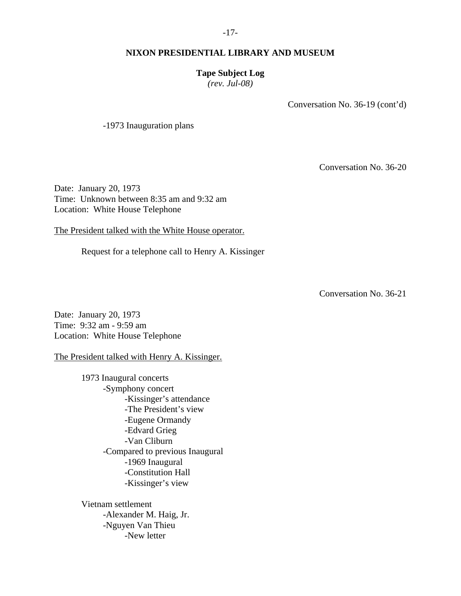## **Tape Subject Log**

*(rev. Jul-08)* 

Conversation No. 36-19 (cont'd)

-1973 Inauguration plans

Conversation No. 36-20

Date: January 20, 1973 Time: Unknown between 8:35 am and 9:32 am Location: White House Telephone

The President talked with the White House operator.

Request for a telephone call to Henry A. Kissinger

Conversation No. 36-21

Date: January 20, 1973 Time: 9:32 am - 9:59 am Location: White House Telephone

The President talked with Henry A. Kissinger.

 1973 Inaugural concerts -Symphony concert -Kissinger's attendance -The President's view -Eugene Ormandy -Edvard Grieg -Van Cliburn -Compared to previous Inaugural -1969 Inaugural -Constitution Hall -Kissinger's view

 Vietnam settlement -Alexander M. Haig, Jr. -Nguyen Van Thieu -New letter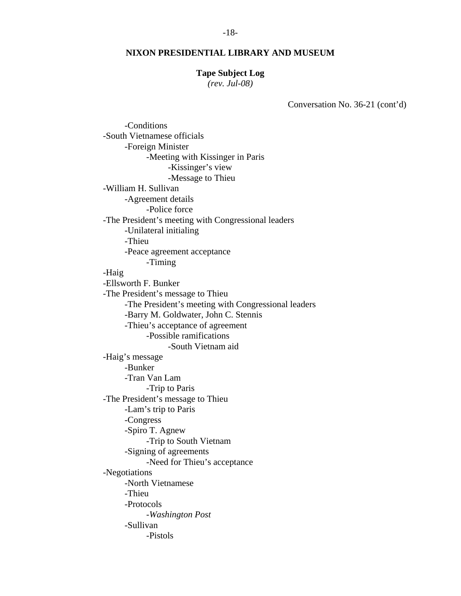#### **Tape Subject Log**

*(rev. Jul-08)* 

Conversation No. 36-21 (cont'd)

 -Conditions -South Vietnamese officials -Foreign Minister -Meeting with Kissinger in Paris -Kissinger's view -Message to Thieu -William H. Sullivan -Agreement details -Police force -The President's meeting with Congressional leaders -Unilateral initialing -Thieu -Peace agreement acceptance -Timing -Haig -Ellsworth F. Bunker -The President's message to Thieu -The President's meeting with Congressional leaders -Barry M. Goldwater, John C. Stennis -Thieu's acceptance of agreement -Possible ramifications -South Vietnam aid -Haig's message -Bunker -Tran Van Lam -Trip to Paris -The President's message to Thieu -Lam's trip to Paris -Congress -Spiro T. Agnew -Trip to South Vietnam -Signing of agreements -Need for Thieu's acceptance -Negotiations -North Vietnamese -Thieu -Protocols -*Washington Post* -Sullivan -Pistols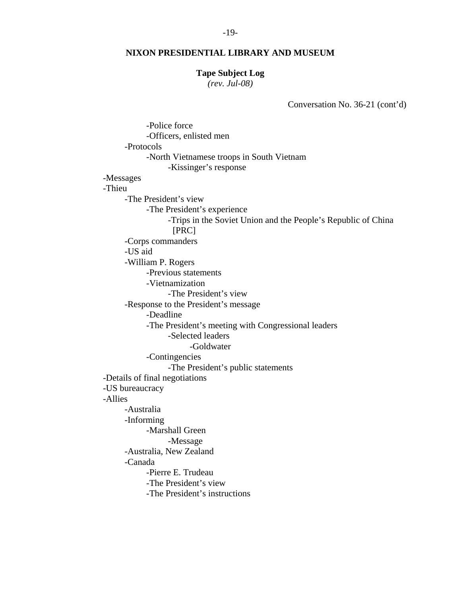#### **Tape Subject Log**

*(rev. Jul-08)* 

Conversation No. 36-21 (cont'd)

 -Police force -Officers, enlisted men -Protocols -North Vietnamese troops in South Vietnam -Kissinger's response -Messages -Thieu -The President's view -The President's experience -Trips in the Soviet Union and the People's Republic of China [PRC] -Corps commanders -US aid -William P. Rogers -Previous statements -Vietnamization -The President's view -Response to the President's message -Deadline -The President's meeting with Congressional leaders -Selected leaders -Goldwater -Contingencies -The President's public statements -Details of final negotiations -US bureaucracy -Allies -Australia -Informing -Marshall Green -Message -Australia, New Zealand -Canada -Pierre E. Trudeau -The President's view -The President's instructions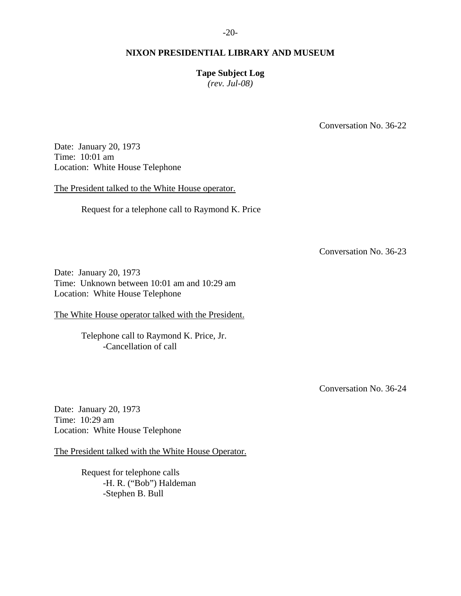## **Tape Subject Log**

*(rev. Jul-08)* 

Conversation No. 36-22

Date: January 20, 1973 Time: 10:01 am Location: White House Telephone

The President talked to the White House operator.

Request for a telephone call to Raymond K. Price

Conversation No. 36-23

Date: January 20, 1973 Time: Unknown between 10:01 am and 10:29 am Location: White House Telephone

The White House operator talked with the President.

 Telephone call to Raymond K. Price, Jr. -Cancellation of call

Conversation No. 36-24

Date: January 20, 1973 Time: 10:29 am Location: White House Telephone

The President talked with the White House Operator.

 Request for telephone calls -H. R. ("Bob") Haldeman -Stephen B. Bull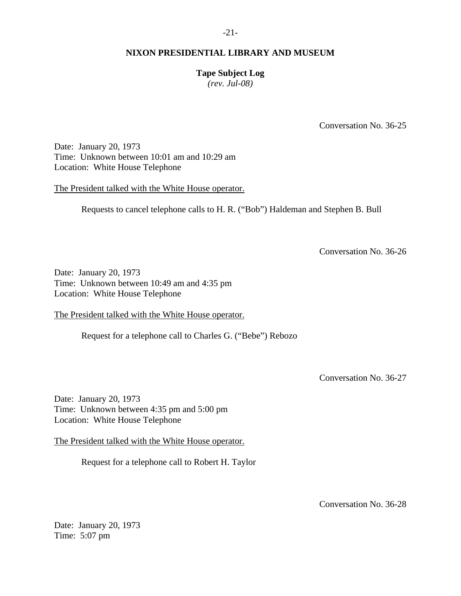## **Tape Subject Log**

*(rev. Jul-08)* 

Conversation No. 36-25

Date: January 20, 1973 Time: Unknown between 10:01 am and 10:29 am Location: White House Telephone

The President talked with the White House operator.

Requests to cancel telephone calls to H. R. ("Bob") Haldeman and Stephen B. Bull

Conversation No. 36-26

Date: January 20, 1973 Time: Unknown between 10:49 am and 4:35 pm Location: White House Telephone

The President talked with the White House operator.

Request for a telephone call to Charles G. ("Bebe") Rebozo

Conversation No. 36-27

Date: January 20, 1973 Time: Unknown between 4:35 pm and 5:00 pm Location: White House Telephone

The President talked with the White House operator.

Request for a telephone call to Robert H. Taylor

Conversation No. 36-28

Date: January 20, 1973 Time: 5:07 pm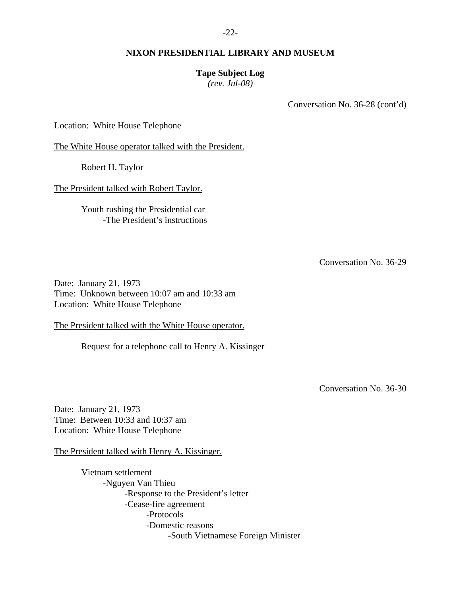## **Tape Subject Log**

*(rev. Jul-08)* 

Conversation No. 36-28 (cont'd)

Location: White House Telephone

The White House operator talked with the President.

Robert H. Taylor

The President talked with Robert Taylor.

 Youth rushing the Presidential car -The President's instructions

Conversation No. 36-29

Date: January 21, 1973 Time: Unknown between 10:07 am and 10:33 am Location: White House Telephone

The President talked with the White House operator.

Request for a telephone call to Henry A. Kissinger

Conversation No. 36-30

Date: January 21, 1973 Time: Between 10:33 and 10:37 am Location: White House Telephone

The President talked with Henry A. Kissinger.

 Vietnam settlement -Nguyen Van Thieu -Response to the President's letter -Cease-fire agreement -Protocols -Domestic reasons -South Vietnamese Foreign Minister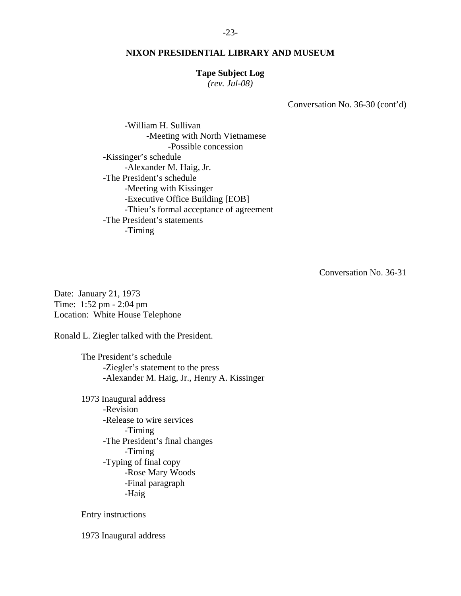#### -23-

#### **NIXON PRESIDENTIAL LIBRARY AND MUSEUM**

#### **Tape Subject Log**

*(rev. Jul-08)* 

Conversation No. 36-30 (cont'd)

 -William H. Sullivan -Meeting with North Vietnamese -Possible concession -Kissinger's schedule -Alexander M. Haig, Jr. -The President's schedule -Meeting with Kissinger -Executive Office Building [EOB] -Thieu's formal acceptance of agreement -The President's statements -Timing

Conversation No. 36-31

Date: January 21, 1973 Time: 1:52 pm - 2:04 pm Location: White House Telephone

Ronald L. Ziegler talked with the President.

 The President's schedule -Ziegler's statement to the press -Alexander M. Haig, Jr., Henry A. Kissinger

 1973 Inaugural address -Revision -Release to wire services -Timing -The President's final changes -Timing -Typing of final copy -Rose Mary Woods -Final paragraph -Haig

Entry instructions

1973 Inaugural address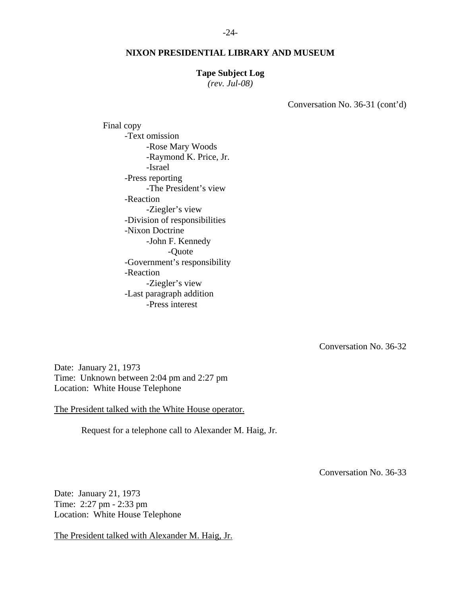#### **Tape Subject Log**

*(rev. Jul-08)* 

Conversation No. 36-31 (cont'd)

 Final copy -Text omission -Rose Mary Woods -Raymond K. Price, Jr. -Israel -Press reporting -The President's view -Reaction -Ziegler's view -Division of responsibilities -Nixon Doctrine -John F. Kennedy -Quote -Government's responsibility -Reaction -Ziegler's view -Last paragraph addition -Press interest

Conversation No. 36-32

Date: January 21, 1973 Time: Unknown between 2:04 pm and 2:27 pm Location: White House Telephone

The President talked with the White House operator.

Request for a telephone call to Alexander M. Haig, Jr.

Conversation No. 36-33

Date: January 21, 1973 Time: 2:27 pm - 2:33 pm Location: White House Telephone

The President talked with Alexander M. Haig, Jr.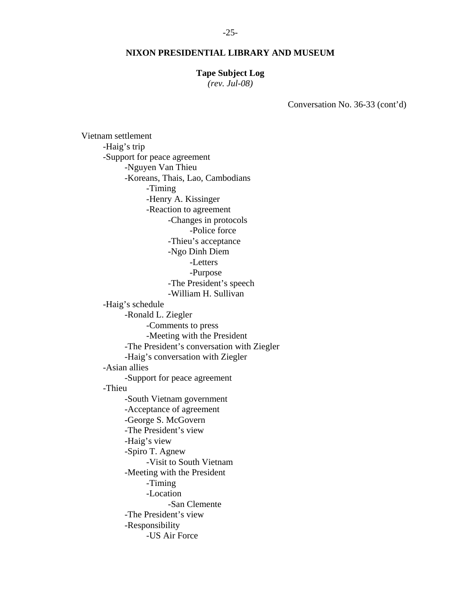#### **Tape Subject Log**

*(rev. Jul-08)* 

Conversation No. 36-33 (cont'd)

 Vietnam settlement -Haig's trip -Support for peace agreement -Nguyen Van Thieu -Koreans, Thais, Lao, Cambodians -Timing -Henry A. Kissinger -Reaction to agreement -Changes in protocols -Police force -Thieu's acceptance -Ngo Dinh Diem -Letters -Purpose -The President's speech -William H. Sullivan -Haig's schedule -Ronald L. Ziegler -Comments to press -Meeting with the President -The President's conversation with Ziegler -Haig's conversation with Ziegler -Asian allies -Support for peace agreement -Thieu -South Vietnam government -Acceptance of agreement -George S. McGovern -The President's view -Haig's view -Spiro T. Agnew -Visit to South Vietnam -Meeting with the President -Timing -Location -San Clemente -The President's view -Responsibility -US Air Force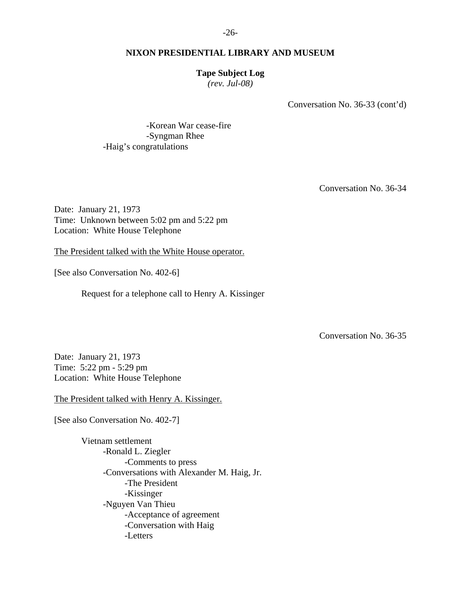#### **Tape Subject Log**

*(rev. Jul-08)* 

Conversation No. 36-33 (cont'd)

 -Korean War cease-fire -Syngman Rhee -Haig's congratulations

Conversation No. 36-34

Date: January 21, 1973 Time: Unknown between 5:02 pm and 5:22 pm Location: White House Telephone

The President talked with the White House operator.

[See also Conversation No. 402-6]

Request for a telephone call to Henry A. Kissinger

Conversation No. 36-35

Date: January 21, 1973 Time: 5:22 pm - 5:29 pm Location: White House Telephone

The President talked with Henry A. Kissinger.

[See also Conversation No. 402-7]

 Vietnam settlement -Ronald L. Ziegler -Comments to press -Conversations with Alexander M. Haig, Jr. -The President -Kissinger -Nguyen Van Thieu -Acceptance of agreement -Conversation with Haig -Letters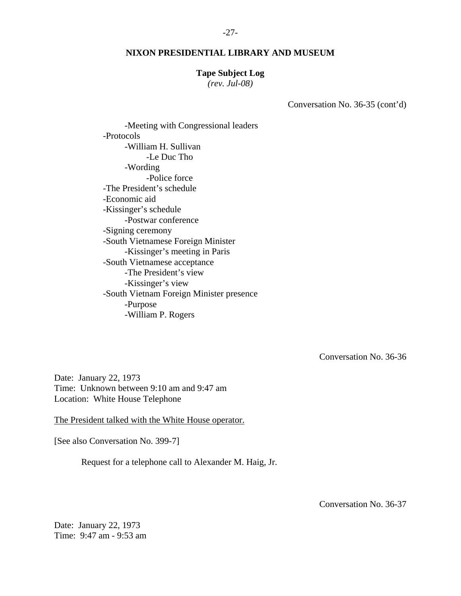#### **Tape Subject Log**

*(rev. Jul-08)* 

Conversation No. 36-35 (cont'd)

 -Meeting with Congressional leaders -Protocols -William H. Sullivan -Le Duc Tho -Wording -Police force -The President's schedule -Economic aid -Kissinger's schedule -Postwar conference -Signing ceremony -South Vietnamese Foreign Minister -Kissinger's meeting in Paris -South Vietnamese acceptance -The President's view -Kissinger's view -South Vietnam Foreign Minister presence -Purpose -William P. Rogers

Conversation No. 36-36

Date: January 22, 1973 Time: Unknown between 9:10 am and 9:47 am Location: White House Telephone

The President talked with the White House operator.

[See also Conversation No. 399-7]

Request for a telephone call to Alexander M. Haig, Jr.

Conversation No. 36-37

Date: January 22, 1973 Time: 9:47 am - 9:53 am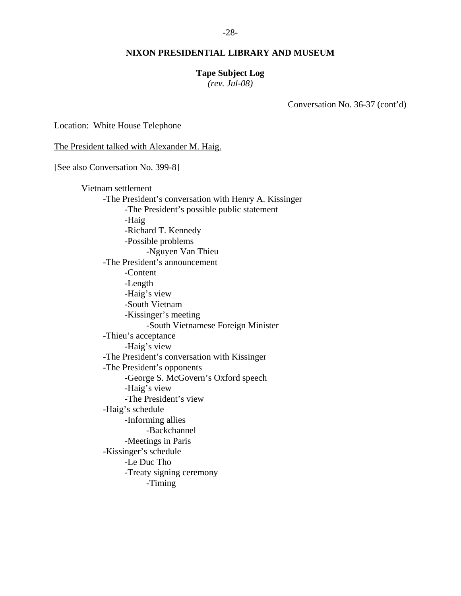#### **Tape Subject Log**

*(rev. Jul-08)* 

Conversation No. 36-37 (cont'd)

Location: White House Telephone

The President talked with Alexander M. Haig.

[See also Conversation No. 399-8]

 Vietnam settlement -The President's conversation with Henry A. Kissinger -The President's possible public statement -Haig -Richard T. Kennedy -Possible problems -Nguyen Van Thieu -The President's announcement -Content -Length -Haig's view -South Vietnam -Kissinger's meeting -South Vietnamese Foreign Minister -Thieu's acceptance -Haig's view -The President's conversation with Kissinger -The President's opponents -George S. McGovern's Oxford speech -Haig's view -The President's view -Haig's schedule -Informing allies -Backchannel -Meetings in Paris -Kissinger's schedule -Le Duc Tho -Treaty signing ceremony -Timing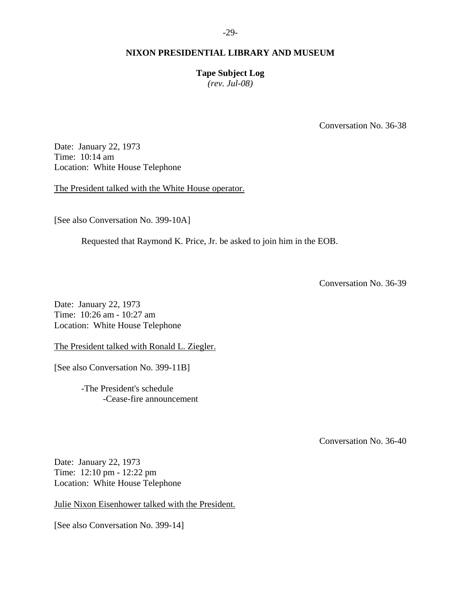**Tape Subject Log** 

*(rev. Jul-08)* 

Conversation No. 36-38

Date: January 22, 1973 Time: 10:14 am Location: White House Telephone

The President talked with the White House operator.

[See also Conversation No. 399-10A]

Requested that Raymond K. Price, Jr. be asked to join him in the EOB.

Conversation No. 36-39

Date: January 22, 1973 Time: 10:26 am - 10:27 am Location: White House Telephone

The President talked with Ronald L. Ziegler.

[See also Conversation No. 399-11B]

 -The President's schedule -Cease-fire announcement

Conversation No. 36-40

Date: January 22, 1973 Time: 12:10 pm - 12:22 pm Location: White House Telephone

Julie Nixon Eisenhower talked with the President.

[See also Conversation No. 399-14]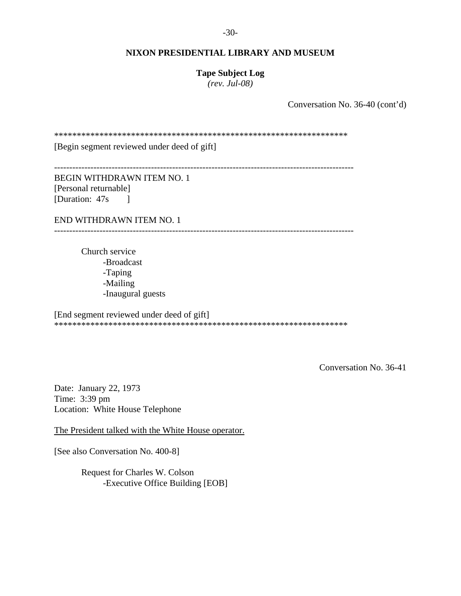-30-

#### **NIXON PRESIDENTIAL LIBRARY AND MUSEUM**

**Tape Subject Log**  *(rev. Jul-08)* 

Conversation No. 36-40 (cont'd)

\*\*\*\*\*\*\*\*\*\*\*\*\*\*\*\*\*\*\*\*\*\*\*\*\*\*\*\*\*\*\*\*\*\*\*\*\*\*\*\*\*\*\*\*\*\*\*\*\*\*\*\*\*\*\*\*\*\*\*\*\*\*\*\*\*

[Begin segment reviewed under deed of gift]

---------------------------------------------------------------------------------------------------

BEGIN WITHDRAWN ITEM NO. 1 [Personal returnable] [Duration: 47s ]

END WITHDRAWN ITEM NO. 1

---------------------------------------------------------------------------------------------------

 Church service -Broadcast -Taping -Mailing -Inaugural guests

[End segment reviewed under deed of gift] \*\*\*\*\*\*\*\*\*\*\*\*\*\*\*\*\*\*\*\*\*\*\*\*\*\*\*\*\*\*\*\*\*\*\*\*\*\*\*\*\*\*\*\*\*\*\*\*\*\*\*\*\*\*\*\*\*\*\*\*\*\*\*\*\*

Conversation No. 36-41

Date: January 22, 1973 Time: 3:39 pm Location: White House Telephone

The President talked with the White House operator.

[See also Conversation No. 400-8]

 Request for Charles W. Colson -Executive Office Building [EOB]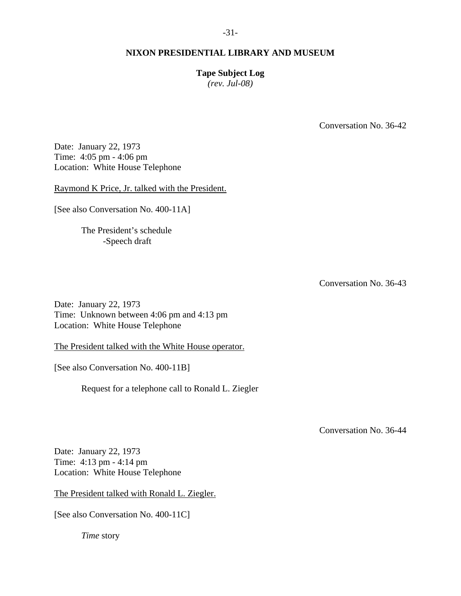# **Tape Subject Log**

*(rev. Jul-08)* 

Conversation No. 36-42

Date: January 22, 1973 Time: 4:05 pm - 4:06 pm Location: White House Telephone

Raymond K Price, Jr. talked with the President.

[See also Conversation No. 400-11A]

 The President's schedule -Speech draft

Conversation No. 36-43

Date: January 22, 1973 Time: Unknown between 4:06 pm and 4:13 pm Location: White House Telephone

The President talked with the White House operator.

[See also Conversation No. 400-11B]

Request for a telephone call to Ronald L. Ziegler

Conversation No. 36-44

Date: January 22, 1973 Time: 4:13 pm - 4:14 pm Location: White House Telephone

The President talked with Ronald L. Ziegler.

[See also Conversation No. 400-11C]

*Time* story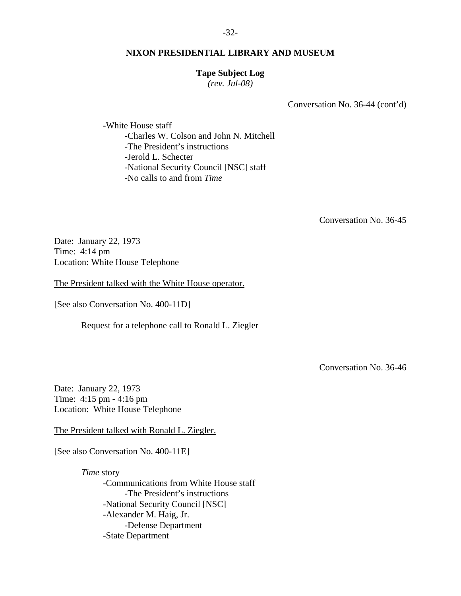#### **Tape Subject Log**

*(rev. Jul-08)* 

Conversation No. 36-44 (cont'd)

 -White House staff -Charles W. Colson and John N. Mitchell -The President's instructions -Jerold L. Schecter -National Security Council [NSC] staff -No calls to and from *Time*

Conversation No. 36-45

Date: January 22, 1973 Time: 4:14 pm Location: White House Telephone

The President talked with the White House operator.

[See also Conversation No. 400-11D]

Request for a telephone call to Ronald L. Ziegler

Conversation No. 36-46

Date: January 22, 1973 Time: 4:15 pm - 4:16 pm Location: White House Telephone

The President talked with Ronald L. Ziegler.

[See also Conversation No. 400-11E]

*Time* story -Communications from White House staff -The President's instructions -National Security Council [NSC] -Alexander M. Haig, Jr. -Defense Department -State Department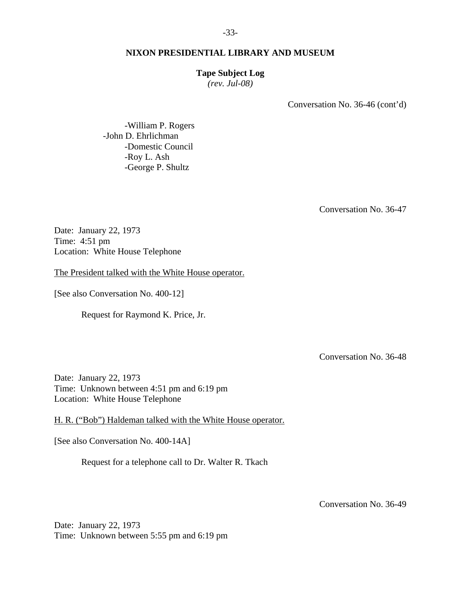#### **Tape Subject Log**

*(rev. Jul-08)* 

Conversation No. 36-46 (cont'd)

 -William P. Rogers -John D. Ehrlichman -Domestic Council -Roy L. Ash -George P. Shultz

Conversation No. 36-47

Date: January 22, 1973 Time: 4:51 pm Location: White House Telephone

The President talked with the White House operator.

[See also Conversation No. 400-12]

Request for Raymond K. Price, Jr.

Conversation No. 36-48

Date: January 22, 1973 Time: Unknown between 4:51 pm and 6:19 pm Location: White House Telephone

H. R. ("Bob") Haldeman talked with the White House operator.

[See also Conversation No. 400-14A]

Request for a telephone call to Dr. Walter R. Tkach

Conversation No. 36-49

Date: January 22, 1973 Time: Unknown between 5:55 pm and 6:19 pm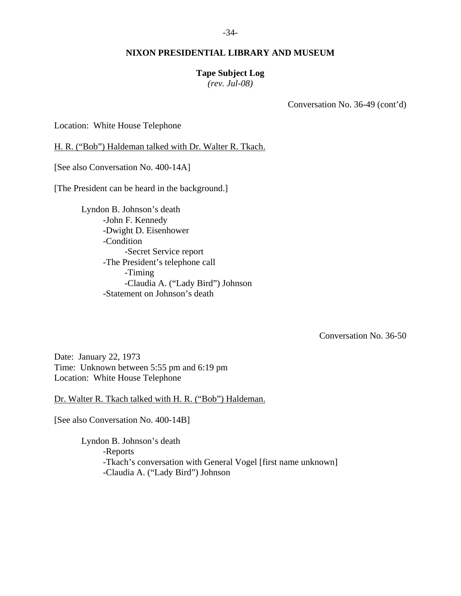## **Tape Subject Log**

*(rev. Jul-08)* 

Conversation No. 36-49 (cont'd)

Location: White House Telephone

H. R. ("Bob") Haldeman talked with Dr. Walter R. Tkach.

[See also Conversation No. 400-14A]

[The President can be heard in the background.]

 Lyndon B. Johnson's death -John F. Kennedy -Dwight D. Eisenhower -Condition -Secret Service report -The President's telephone call -Timing -Claudia A. ("Lady Bird") Johnson -Statement on Johnson's death

Conversation No. 36-50

Date: January 22, 1973 Time: Unknown between 5:55 pm and 6:19 pm Location: White House Telephone

Dr. Walter R. Tkach talked with H. R. ("Bob") Haldeman.

[See also Conversation No. 400-14B]

 Lyndon B. Johnson's death -Reports -Tkach's conversation with General Vogel [first name unknown] -Claudia A. ("Lady Bird") Johnson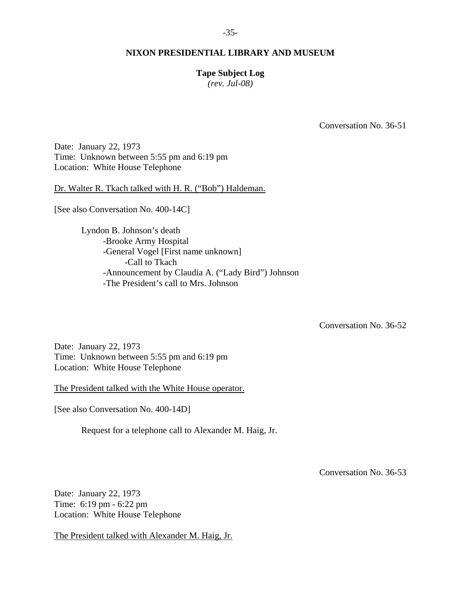## **Tape Subject Log**

*(rev. Jul-08)* 

Conversation No. 36-51

Date: January 22, 1973 Time: Unknown between 5:55 pm and 6:19 pm Location: White House Telephone

Dr. Walter R. Tkach talked with H. R. ("Bob") Haldeman.

[See also Conversation No. 400-14C]

 Lyndon B. Johnson's death -Brooke Army Hospital -General Vogel [First name unknown] -Call to Tkach -Announcement by Claudia A. ("Lady Bird") Johnson -The President's call to Mrs. Johnson

Conversation No. 36-52

Date: January 22, 1973 Time: Unknown between 5:55 pm and 6:19 pm Location: White House Telephone

The President talked with the White House operator.

[See also Conversation No. 400-14D]

Request for a telephone call to Alexander M. Haig, Jr.

Conversation No. 36-53

Date: January 22, 1973 Time: 6:19 pm - 6:22 pm Location: White House Telephone

The President talked with Alexander M. Haig, Jr.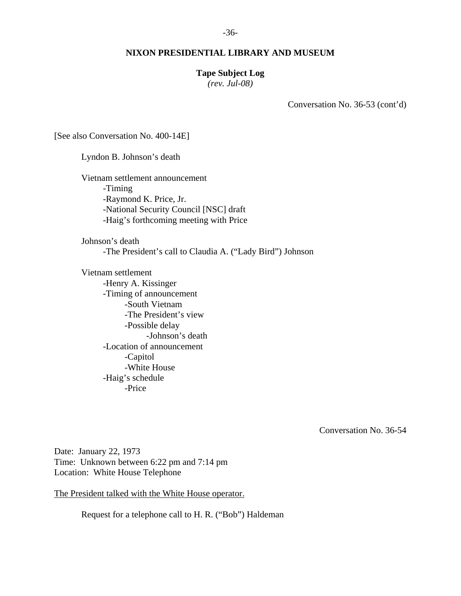#### **Tape Subject Log**

*(rev. Jul-08)* 

Conversation No. 36-53 (cont'd)

[See also Conversation No. 400-14E]

 Lyndon B. Johnson's death Vietnam settlement announcement -Timing -Raymond K. Price, Jr. -National Security Council [NSC] draft -Haig's forthcoming meeting with Price Johnson's death -The President's call to Claudia A. ("Lady Bird") Johnson Vietnam settlement -Henry A. Kissinger -Timing of announcement -South Vietnam -The President's view -Possible delay -Johnson's death -Location of announcement

 -Capitol -White House -Haig's schedule -Price

Conversation No. 36-54

Date: January 22, 1973 Time: Unknown between 6:22 pm and 7:14 pm Location: White House Telephone

The President talked with the White House operator.

Request for a telephone call to H. R. ("Bob") Haldeman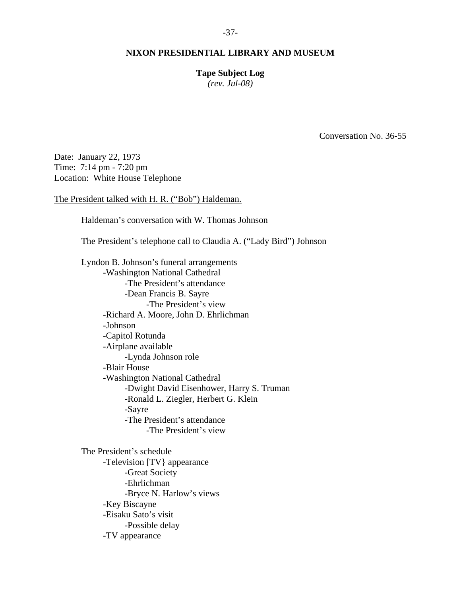# **Tape Subject Log**

*(rev. Jul-08)* 

Conversation No. 36-55

Date: January 22, 1973 Time: 7:14 pm - 7:20 pm Location: White House Telephone

The President talked with H. R. ("Bob") Haldeman.

Haldeman's conversation with W. Thomas Johnson

The President's telephone call to Claudia A. ("Lady Bird") Johnson

 Lyndon B. Johnson's funeral arrangements -Washington National Cathedral -The President's attendance -Dean Francis B. Sayre -The President's view -Richard A. Moore, John D. Ehrlichman -Johnson -Capitol Rotunda -Airplane available -Lynda Johnson role -Blair House -Washington National Cathedral -Dwight David Eisenhower, Harry S. Truman -Ronald L. Ziegler, Herbert G. Klein -Sayre -The President's attendance -The President's view

 The President's schedule -Television [TV} appearance -Great Society -Ehrlichman -Bryce N. Harlow's views -Key Biscayne -Eisaku Sato's visit -Possible delay -TV appearance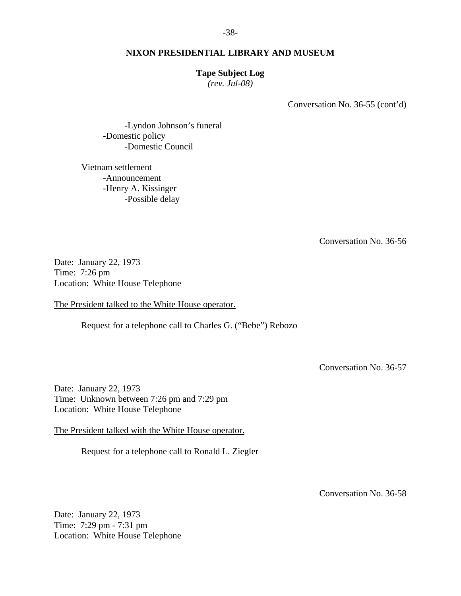#### **Tape Subject Log**

*(rev. Jul-08)* 

Conversation No. 36-55 (cont'd)

 -Lyndon Johnson's funeral -Domestic policy -Domestic Council

 Vietnam settlement -Announcement -Henry A. Kissinger -Possible delay

Conversation No. 36-56

Date: January 22, 1973 Time: 7:26 pm Location: White House Telephone

The President talked to the White House operator.

Request for a telephone call to Charles G. ("Bebe") Rebozo

Conversation No. 36-57

Date: January 22, 1973 Time: Unknown between 7:26 pm and 7:29 pm Location: White House Telephone

The President talked with the White House operator.

Request for a telephone call to Ronald L. Ziegler

Conversation No. 36-58

Date: January 22, 1973 Time: 7:29 pm - 7:31 pm Location: White House Telephone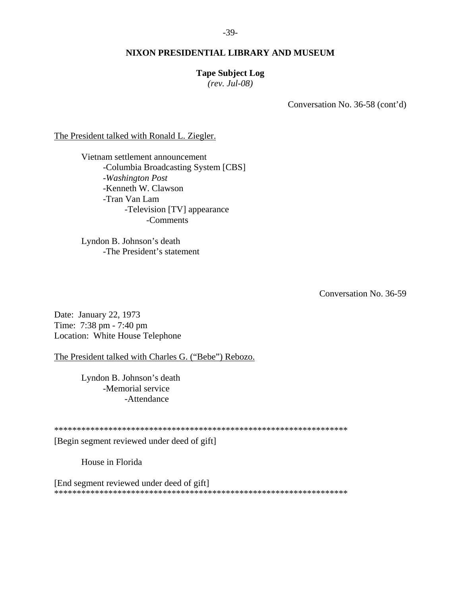## **Tape Subject Log**

*(rev. Jul-08)* 

Conversation No. 36-58 (cont'd)

The President talked with Ronald L. Ziegler.

 Vietnam settlement announcement -Columbia Broadcasting System [CBS] -*Washington Post* -Kenneth W. Clawson -Tran Van Lam -Television [TV] appearance -Comments

 Lyndon B. Johnson's death -The President's statement

Conversation No. 36-59

Date: January 22, 1973 Time: 7:38 pm - 7:40 pm Location: White House Telephone

The President talked with Charles G. ("Bebe") Rebozo.

 Lyndon B. Johnson's death -Memorial service -Attendance

\*\*\*\*\*\*\*\*\*\*\*\*\*\*\*\*\*\*\*\*\*\*\*\*\*\*\*\*\*\*\*\*\*\*\*\*\*\*\*\*\*\*\*\*\*\*\*\*\*\*\*\*\*\*\*\*\*\*\*\*\*\*\*\*\*

[Begin segment reviewed under deed of gift]

House in Florida

[End segment reviewed under deed of gift] \*\*\*\*\*\*\*\*\*\*\*\*\*\*\*\*\*\*\*\*\*\*\*\*\*\*\*\*\*\*\*\*\*\*\*\*\*\*\*\*\*\*\*\*\*\*\*\*\*\*\*\*\*\*\*\*\*\*\*\*\*\*\*\*\*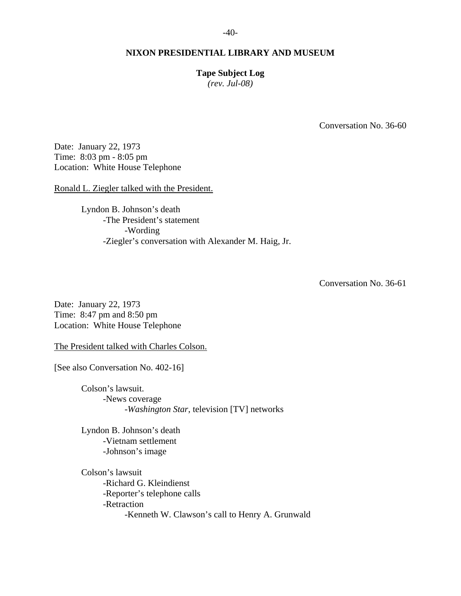## **Tape Subject Log**

*(rev. Jul-08)* 

Conversation No. 36-60

Date: January 22, 1973 Time: 8:03 pm - 8:05 pm Location: White House Telephone

Ronald L. Ziegler talked with the President.

 Lyndon B. Johnson's death -The President's statement -Wording -Ziegler's conversation with Alexander M. Haig, Jr.

Conversation No. 36-61

Date: January 22, 1973 Time: 8:47 pm and 8:50 pm Location: White House Telephone

The President talked with Charles Colson.

[See also Conversation No. 402-16]

 Colson's lawsuit. -News coverage -*Washington Star*, television [TV] networks

 Lyndon B. Johnson's death -Vietnam settlement -Johnson's image

 Colson's lawsuit -Richard G. Kleindienst -Reporter's telephone calls -Retraction -Kenneth W. Clawson's call to Henry A. Grunwald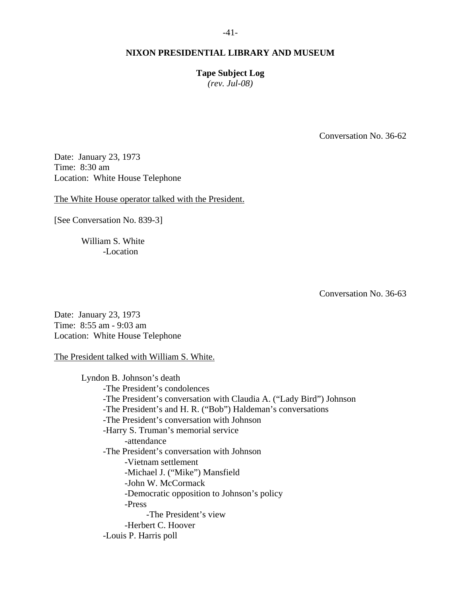**Tape Subject Log** 

*(rev. Jul-08)* 

Conversation No. 36-62

Date: January 23, 1973 Time: 8:30 am Location: White House Telephone

The White House operator talked with the President.

[See Conversation No. 839-3]

 William S. White -Location

Conversation No. 36-63

Date: January 23, 1973 Time: 8:55 am - 9:03 am Location: White House Telephone

The President talked with William S. White.

 Lyndon B. Johnson's death -The President's condolences -The President's conversation with Claudia A. ("Lady Bird") Johnson -The President's and H. R. ("Bob") Haldeman's conversations -The President's conversation with Johnson -Harry S. Truman's memorial service -attendance -The President's conversation with Johnson -Vietnam settlement -Michael J. ("Mike") Mansfield -John W. McCormack -Democratic opposition to Johnson's policy -Press -The President's view -Herbert C. Hoover -Louis P. Harris poll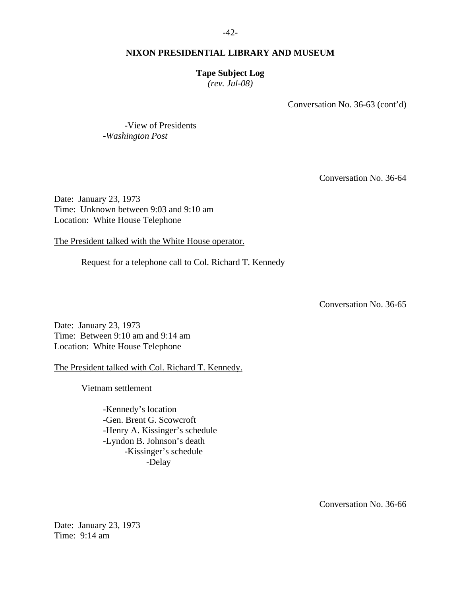## **Tape Subject Log**

*(rev. Jul-08)* 

Conversation No. 36-63 (cont'd)

 -View of Presidents -*Washington Post*

Conversation No. 36-64

Date: January 23, 1973 Time: Unknown between 9:03 and 9:10 am Location: White House Telephone

The President talked with the White House operator.

Request for a telephone call to Col. Richard T. Kennedy

Conversation No. 36-65

Date: January 23, 1973 Time: Between 9:10 am and 9:14 am Location: White House Telephone

The President talked with Col. Richard T. Kennedy.

Vietnam settlement

 -Kennedy's location -Gen. Brent G. Scowcroft -Henry A. Kissinger's schedule -Lyndon B. Johnson's death -Kissinger's schedule -Delay

Conversation No. 36-66

Date: January 23, 1973 Time: 9:14 am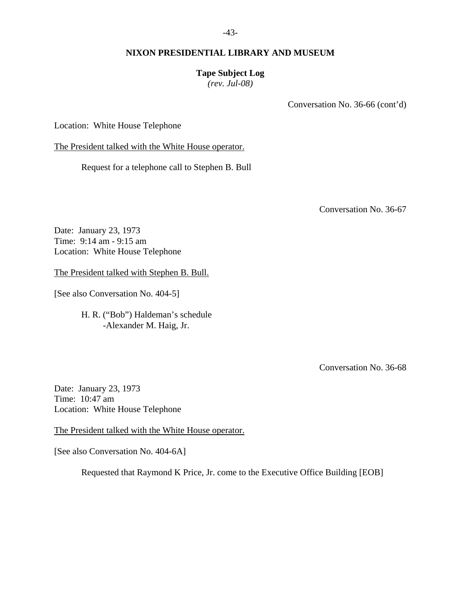## **Tape Subject Log**

*(rev. Jul-08)* 

Conversation No. 36-66 (cont'd)

Location: White House Telephone

The President talked with the White House operator.

Request for a telephone call to Stephen B. Bull

Conversation No. 36-67

Date: January 23, 1973 Time: 9:14 am - 9:15 am Location: White House Telephone

The President talked with Stephen B. Bull.

[See also Conversation No. 404-5]

 H. R. ("Bob") Haldeman's schedule -Alexander M. Haig, Jr.

Conversation No. 36-68

Date: January 23, 1973 Time: 10:47 am Location: White House Telephone

The President talked with the White House operator.

[See also Conversation No. 404-6A]

Requested that Raymond K Price, Jr. come to the Executive Office Building [EOB]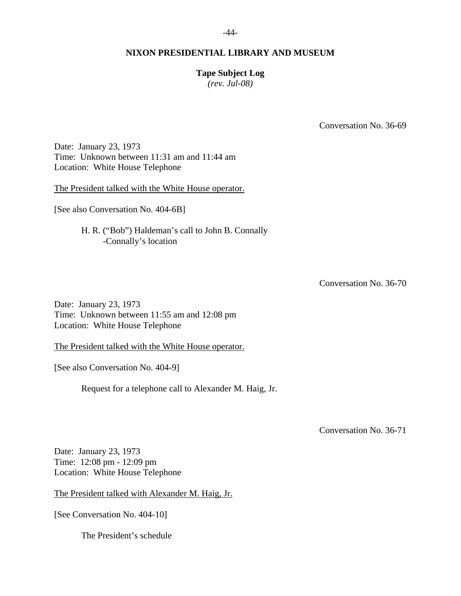## **Tape Subject Log**

*(rev. Jul-08)* 

Conversation No. 36-69

Date: January 23, 1973 Time: Unknown between 11:31 am and 11:44 am Location: White House Telephone

The President talked with the White House operator.

[See also Conversation No. 404-6B]

 H. R. ("Bob") Haldeman's call to John B. Connally -Connally's location

Conversation No. 36-70

Date: January 23, 1973 Time: Unknown between 11:55 am and 12:08 pm Location: White House Telephone

The President talked with the White House operator.

[See also Conversation No. 404-9]

Request for a telephone call to Alexander M. Haig, Jr.

Conversation No. 36-71

Date: January 23, 1973 Time: 12:08 pm - 12:09 pm Location: White House Telephone

The President talked with Alexander M. Haig, Jr.

[See Conversation No. 404-10]

The President's schedule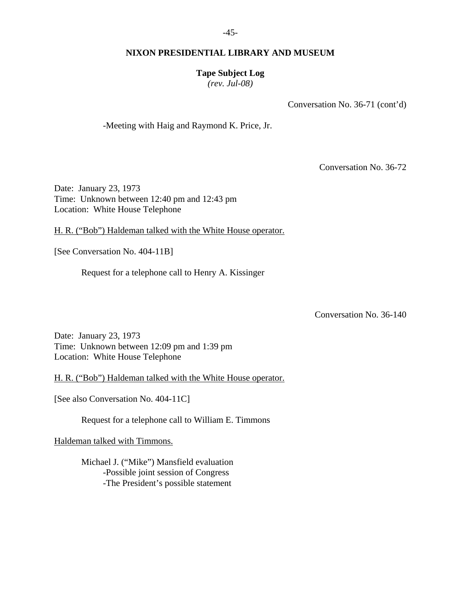# **Tape Subject Log**

*(rev. Jul-08)* 

Conversation No. 36-71 (cont'd)

-Meeting with Haig and Raymond K. Price, Jr.

Conversation No. 36-72

Date: January 23, 1973 Time: Unknown between 12:40 pm and 12:43 pm Location: White House Telephone

H. R. ("Bob") Haldeman talked with the White House operator.

[See Conversation No. 404-11B]

Request for a telephone call to Henry A. Kissinger

Conversation No. 36-140

Date: January 23, 1973 Time: Unknown between 12:09 pm and 1:39 pm Location: White House Telephone

H. R. ("Bob") Haldeman talked with the White House operator.

[See also Conversation No. 404-11C]

Request for a telephone call to William E. Timmons

Haldeman talked with Timmons.

 Michael J. ("Mike") Mansfield evaluation -Possible joint session of Congress -The President's possible statement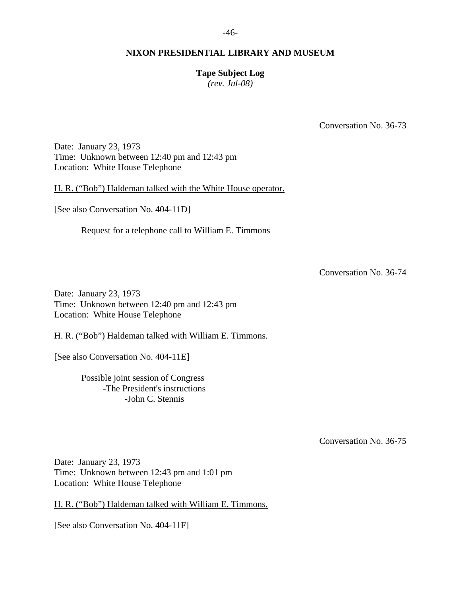# **Tape Subject Log**

*(rev. Jul-08)* 

Conversation No. 36-73

Date: January 23, 1973 Time: Unknown between 12:40 pm and 12:43 pm Location: White House Telephone

H. R. ("Bob") Haldeman talked with the White House operator.

[See also Conversation No. 404-11D]

Request for a telephone call to William E. Timmons

Conversation No. 36-74

Date: January 23, 1973 Time: Unknown between 12:40 pm and 12:43 pm Location: White House Telephone

H. R. ("Bob") Haldeman talked with William E. Timmons.

[See also Conversation No. 404-11E]

 Possible joint session of Congress -The President's instructions -John C. Stennis

Conversation No. 36-75

Date: January 23, 1973 Time: Unknown between 12:43 pm and 1:01 pm Location: White House Telephone

H. R. ("Bob") Haldeman talked with William E. Timmons.

[See also Conversation No. 404-11F]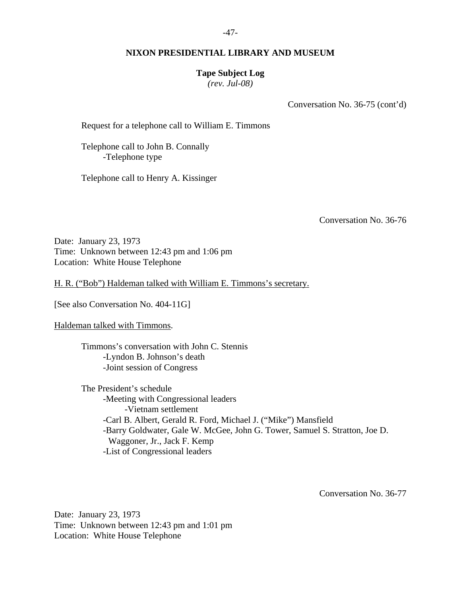## **Tape Subject Log**

*(rev. Jul-08)* 

Conversation No. 36-75 (cont'd)

Request for a telephone call to William E. Timmons

 Telephone call to John B. Connally -Telephone type

Telephone call to Henry A. Kissinger

Conversation No. 36-76

Date: January 23, 1973 Time: Unknown between 12:43 pm and 1:06 pm Location: White House Telephone

H. R. ("Bob") Haldeman talked with William E. Timmons's secretary.

[See also Conversation No. 404-11G]

Haldeman talked with Timmons.

 Timmons's conversation with John C. Stennis -Lyndon B. Johnson's death -Joint session of Congress

 The President's schedule -Meeting with Congressional leaders -Vietnam settlement -Carl B. Albert, Gerald R. Ford, Michael J. ("Mike") Mansfield -Barry Goldwater, Gale W. McGee, John G. Tower, Samuel S. Stratton, Joe D. Waggoner, Jr., Jack F. Kemp -List of Congressional leaders

Conversation No. 36-77

Date: January 23, 1973 Time: Unknown between 12:43 pm and 1:01 pm Location: White House Telephone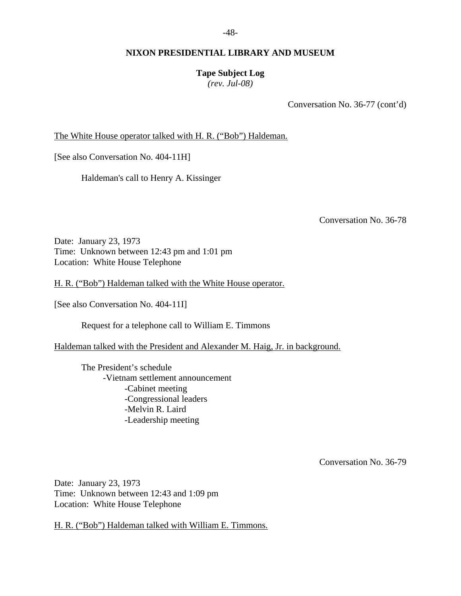**Tape Subject Log** 

*(rev. Jul-08)* 

Conversation No. 36-77 (cont'd)

The White House operator talked with H. R. ("Bob") Haldeman.

[See also Conversation No. 404-11H]

Haldeman's call to Henry A. Kissinger

Conversation No. 36-78

Date: January 23, 1973 Time: Unknown between 12:43 pm and 1:01 pm Location: White House Telephone

H. R. ("Bob") Haldeman talked with the White House operator.

[See also Conversation No. 404-11I]

Request for a telephone call to William E. Timmons

Haldeman talked with the President and Alexander M. Haig, Jr. in background.

 The President's schedule -Vietnam settlement announcement -Cabinet meeting -Congressional leaders -Melvin R. Laird -Leadership meeting

Conversation No. 36-79

Date: January 23, 1973 Time: Unknown between 12:43 and 1:09 pm Location: White House Telephone

H. R. ("Bob") Haldeman talked with William E. Timmons.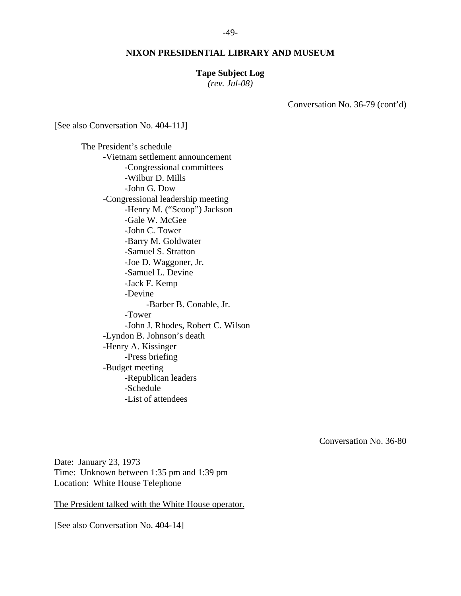#### **Tape Subject Log**

*(rev. Jul-08)* 

Conversation No. 36-79 (cont'd)

[See also Conversation No. 404-11J]

 The President's schedule -Vietnam settlement announcement -Congressional committees -Wilbur D. Mills -John G. Dow -Congressional leadership meeting -Henry M. ("Scoop") Jackson -Gale W. McGee -John C. Tower -Barry M. Goldwater -Samuel S. Stratton -Joe D. Waggoner, Jr. -Samuel L. Devine -Jack F. Kemp -Devine -Barber B. Conable, Jr. -Tower -John J. Rhodes, Robert C. Wilson -Lyndon B. Johnson's death -Henry A. Kissinger -Press briefing -Budget meeting -Republican leaders -Schedule -List of attendees

Conversation No. 36-80

Date: January 23, 1973 Time: Unknown between 1:35 pm and 1:39 pm Location: White House Telephone

The President talked with the White House operator.

[See also Conversation No. 404-14]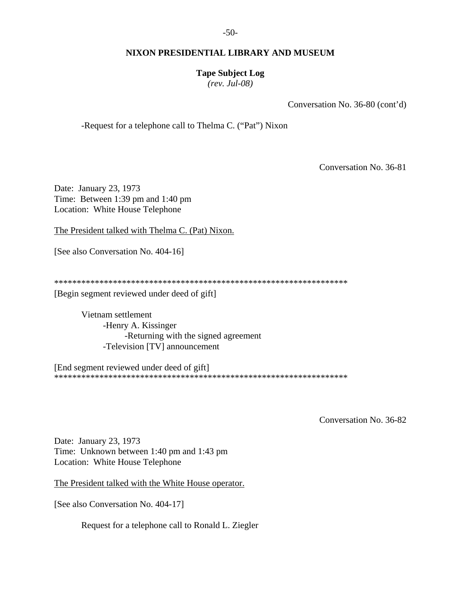# **Tape Subject Log**

*(rev. Jul-08)* 

Conversation No. 36-80 (cont'd)

-Request for a telephone call to Thelma C. ("Pat") Nixon

Conversation No. 36-81

Date: January 23, 1973 Time: Between 1:39 pm and 1:40 pm Location: White House Telephone

The President talked with Thelma C. (Pat) Nixon.

[See also Conversation No. 404-16]

\*\*\*\*\*\*\*\*\*\*\*\*\*\*\*\*\*\*\*\*\*\*\*\*\*\*\*\*\*\*\*\*\*\*\*\*\*\*\*\*\*\*\*\*\*\*\*\*\*\*\*\*\*\*\*\*\*\*\*\*\*\*\*\*\*

[Begin segment reviewed under deed of gift]

 Vietnam settlement -Henry A. Kissinger -Returning with the signed agreement -Television [TV] announcement

[End segment reviewed under deed of gift] \*\*\*\*\*\*\*\*\*\*\*\*\*\*\*\*\*\*\*\*\*\*\*\*\*\*\*\*\*\*\*\*\*\*\*\*\*\*\*\*\*\*\*\*\*\*\*\*\*\*\*\*\*\*\*\*\*\*\*\*\*\*\*\*\*

Conversation No. 36-82

Date: January 23, 1973 Time: Unknown between 1:40 pm and 1:43 pm Location: White House Telephone

The President talked with the White House operator.

[See also Conversation No. 404-17]

Request for a telephone call to Ronald L. Ziegler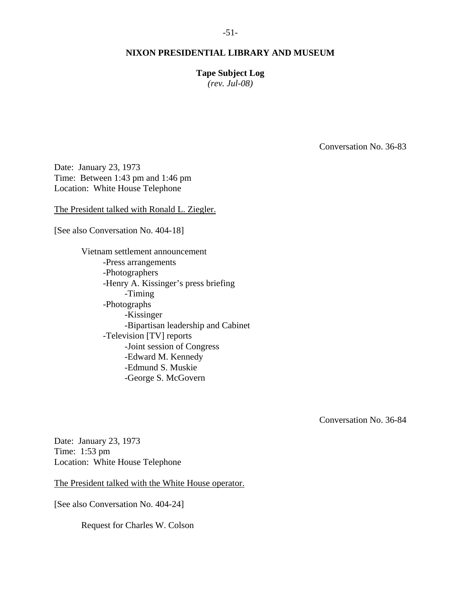# -51-

## **NIXON PRESIDENTIAL LIBRARY AND MUSEUM**

**Tape Subject Log** 

*(rev. Jul-08)* 

Conversation No. 36-83

Date: January 23, 1973 Time: Between 1:43 pm and 1:46 pm Location: White House Telephone

The President talked with Ronald L. Ziegler.

[See also Conversation No. 404-18]

 Vietnam settlement announcement -Press arrangements -Photographers -Henry A. Kissinger's press briefing -Timing -Photographs -Kissinger -Bipartisan leadership and Cabinet -Television [TV] reports -Joint session of Congress -Edward M. Kennedy -Edmund S. Muskie -George S. McGovern

Conversation No. 36-84

Date: January 23, 1973 Time: 1:53 pm Location: White House Telephone

The President talked with the White House operator.

[See also Conversation No. 404-24]

Request for Charles W. Colson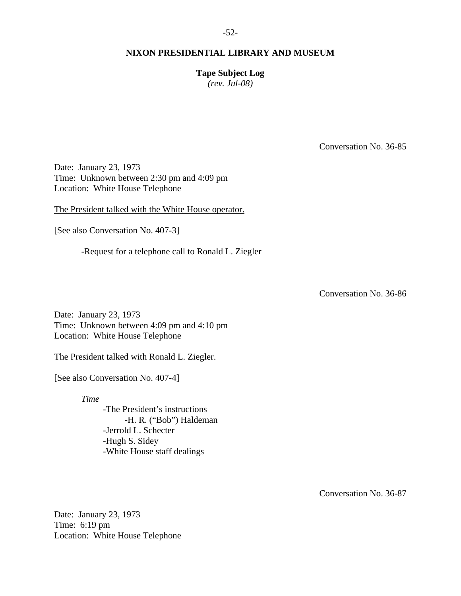**Tape Subject Log**  *(rev. Jul-08)* 

Conversation No. 36-85

Date: January 23, 1973 Time: Unknown between 2:30 pm and 4:09 pm Location: White House Telephone

The President talked with the White House operator.

[See also Conversation No. 407-3]

-Request for a telephone call to Ronald L. Ziegler

Conversation No. 36-86

Date: January 23, 1973 Time: Unknown between 4:09 pm and 4:10 pm Location: White House Telephone

The President talked with Ronald L. Ziegler.

[See also Conversation No. 407-4]

*Time*

 -The President's instructions -H. R. ("Bob") Haldeman -Jerrold L. Schecter -Hugh S. Sidey -White House staff dealings

Conversation No. 36-87

Date: January 23, 1973 Time: 6:19 pm Location: White House Telephone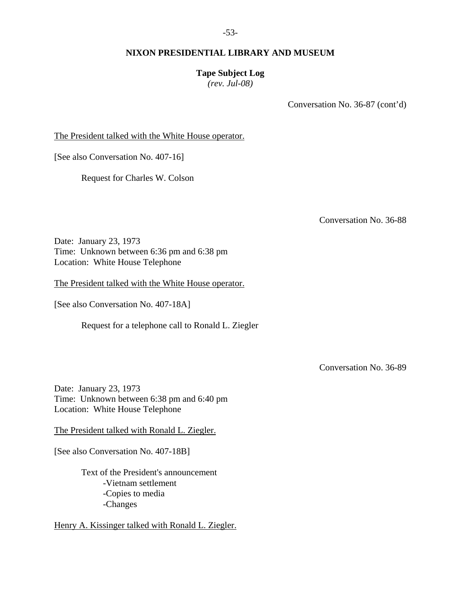**Tape Subject Log** 

*(rev. Jul-08)* 

Conversation No. 36-87 (cont'd)

The President talked with the White House operator.

[See also Conversation No. 407-16]

Request for Charles W. Colson

Conversation No. 36-88

Date: January 23, 1973 Time: Unknown between 6:36 pm and 6:38 pm Location: White House Telephone

The President talked with the White House operator.

[See also Conversation No. 407-18A]

Request for a telephone call to Ronald L. Ziegler

Conversation No. 36-89

Date: January 23, 1973 Time: Unknown between 6:38 pm and 6:40 pm Location: White House Telephone

The President talked with Ronald L. Ziegler.

[See also Conversation No. 407-18B]

 Text of the President's announcement -Vietnam settlement -Copies to media -Changes

Henry A. Kissinger talked with Ronald L. Ziegler.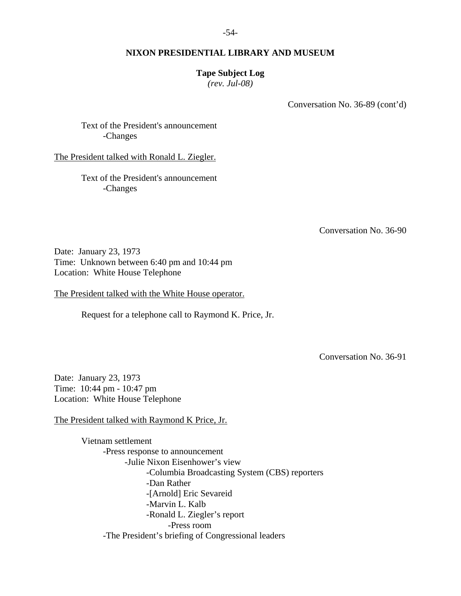## **Tape Subject Log**

*(rev. Jul-08)* 

Conversation No. 36-89 (cont'd)

 Text of the President's announcement -Changes

The President talked with Ronald L. Ziegler.

 Text of the President's announcement -Changes

Conversation No. 36-90

Date: January 23, 1973 Time: Unknown between 6:40 pm and 10:44 pm Location: White House Telephone

The President talked with the White House operator.

Request for a telephone call to Raymond K. Price, Jr.

Conversation No. 36-91

Date: January 23, 1973 Time: 10:44 pm - 10:47 pm Location: White House Telephone

The President talked with Raymond K Price, Jr.

 Vietnam settlement -Press response to announcement -Julie Nixon Eisenhower's view -Columbia Broadcasting System (CBS) reporters -Dan Rather -[Arnold] Eric Sevareid -Marvin L. Kalb -Ronald L. Ziegler's report -Press room -The President's briefing of Congressional leaders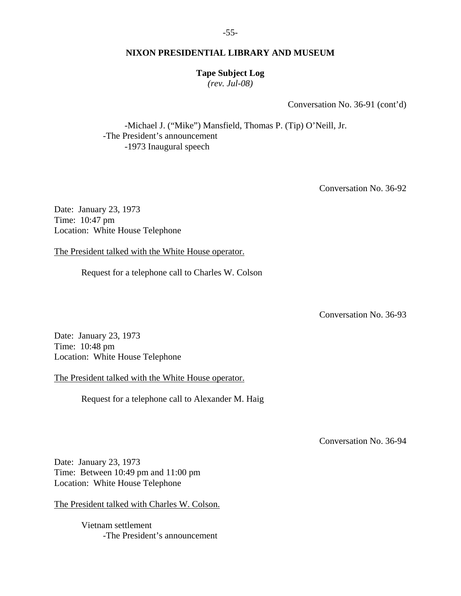-55-

## **NIXON PRESIDENTIAL LIBRARY AND MUSEUM**

**Tape Subject Log** 

*(rev. Jul-08)* 

Conversation No. 36-91 (cont'd)

 -Michael J. ("Mike") Mansfield, Thomas P. (Tip) O'Neill, Jr. -The President's announcement -1973 Inaugural speech

Conversation No. 36-92

Date: January 23, 1973 Time: 10:47 pm Location: White House Telephone

The President talked with the White House operator.

Request for a telephone call to Charles W. Colson

Conversation No. 36-93

Date: January 23, 1973 Time: 10:48 pm Location: White House Telephone

The President talked with the White House operator.

Request for a telephone call to Alexander M. Haig

Conversation No. 36-94

Date: January 23, 1973 Time: Between 10:49 pm and 11:00 pm Location: White House Telephone

The President talked with Charles W. Colson.

 Vietnam settlement -The President's announcement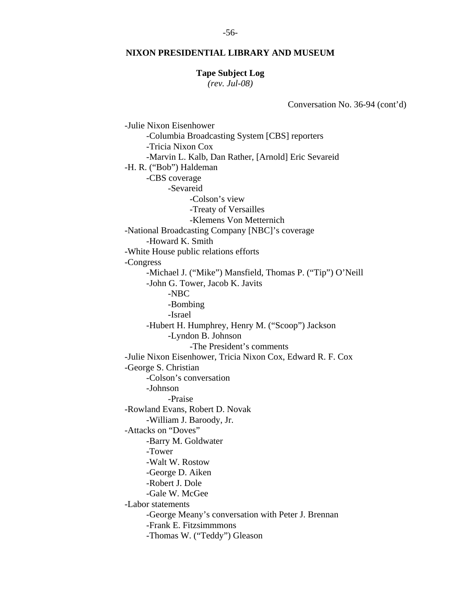## **Tape Subject Log**

*(rev. Jul-08)* 

Conversation No. 36-94 (cont'd)

 -Julie Nixon Eisenhower -Columbia Broadcasting System [CBS] reporters -Tricia Nixon Cox -Marvin L. Kalb, Dan Rather, [Arnold] Eric Sevareid -H. R. ("Bob") Haldeman -CBS coverage -Sevareid -Colson's view -Treaty of Versailles -Klemens Von Metternich -National Broadcasting Company [NBC]'s coverage -Howard K. Smith -White House public relations efforts -Congress -Michael J. ("Mike") Mansfield, Thomas P. ("Tip") O'Neill -John G. Tower, Jacob K. Javits -NBC -Bombing -Israel -Hubert H. Humphrey, Henry M. ("Scoop") Jackson -Lyndon B. Johnson -The President's comments -Julie Nixon Eisenhower, Tricia Nixon Cox, Edward R. F. Cox -George S. Christian -Colson's conversation -Johnson -Praise -Rowland Evans, Robert D. Novak -William J. Baroody, Jr. -Attacks on "Doves" -Barry M. Goldwater -Tower -Walt W. Rostow -George D. Aiken -Robert J. Dole -Gale W. McGee -Labor statements -George Meany's conversation with Peter J. Brennan -Frank E. Fitzsimmmons -Thomas W. ("Teddy") Gleason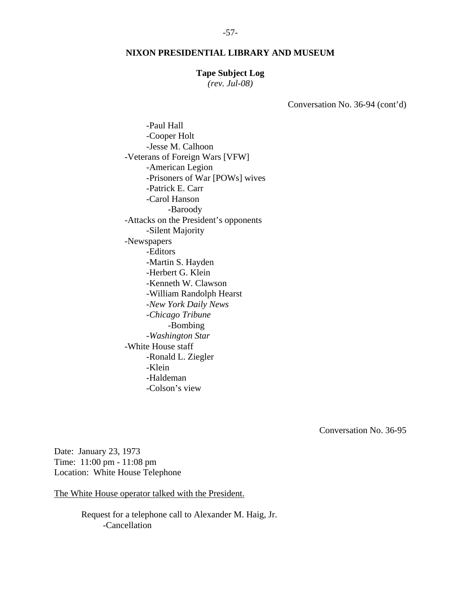#### **Tape Subject Log**

*(rev. Jul-08)* 

Conversation No. 36-94 (cont'd)

 -Paul Hall -Cooper Holt -Jesse M. Calhoon -Veterans of Foreign Wars [VFW] -American Legion -Prisoners of War [POWs] wives -Patrick E. Carr -Carol Hanson -Baroody -Attacks on the President's opponents -Silent Majority -Newspapers -Editors -Martin S. Hayden -Herbert G. Klein -Kenneth W. Clawson -William Randolph Hearst -*New York Daily News* -*Chicago Tribune* -Bombing -*Washington Star* -White House staff -Ronald L. Ziegler -Klein -Haldeman -Colson's view

Conversation No. 36-95

Date: January 23, 1973 Time: 11:00 pm - 11:08 pm Location: White House Telephone

The White House operator talked with the President.

 Request for a telephone call to Alexander M. Haig, Jr. -Cancellation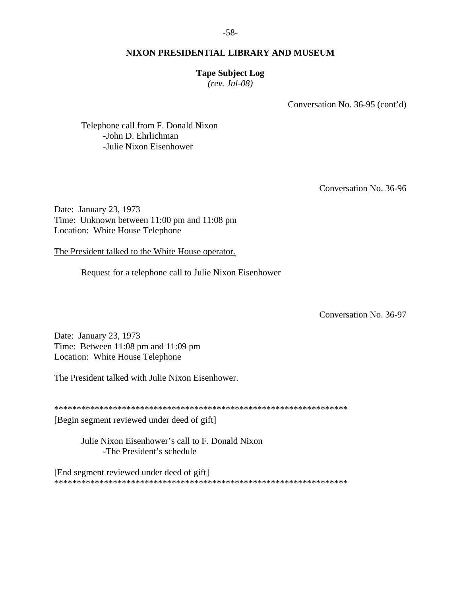## **Tape Subject Log**

*(rev. Jul-08)* 

Conversation No. 36-95 (cont'd)

 Telephone call from F. Donald Nixon -John D. Ehrlichman -Julie Nixon Eisenhower

Conversation No. 36-96

Date: January 23, 1973 Time: Unknown between 11:00 pm and 11:08 pm Location: White House Telephone

The President talked to the White House operator.

Request for a telephone call to Julie Nixon Eisenhower

Conversation No. 36-97

Date: January 23, 1973 Time: Between 11:08 pm and 11:09 pm Location: White House Telephone

The President talked with Julie Nixon Eisenhower.

\*\*\*\*\*\*\*\*\*\*\*\*\*\*\*\*\*\*\*\*\*\*\*\*\*\*\*\*\*\*\*\*\*\*\*\*\*\*\*\*\*\*\*\*\*\*\*\*\*\*\*\*\*\*\*\*\*\*\*\*\*\*\*\*\*

[Begin segment reviewed under deed of gift]

 Julie Nixon Eisenhower's call to F. Donald Nixon -The President's schedule

[End segment reviewed under deed of gift] \*\*\*\*\*\*\*\*\*\*\*\*\*\*\*\*\*\*\*\*\*\*\*\*\*\*\*\*\*\*\*\*\*\*\*\*\*\*\*\*\*\*\*\*\*\*\*\*\*\*\*\*\*\*\*\*\*\*\*\*\*\*\*\*\*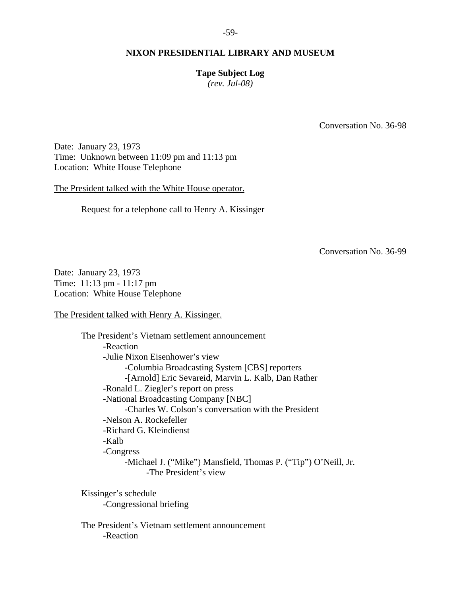## **Tape Subject Log**

*(rev. Jul-08)* 

Conversation No. 36-98

Date: January 23, 1973 Time: Unknown between 11:09 pm and 11:13 pm Location: White House Telephone

The President talked with the White House operator.

Request for a telephone call to Henry A. Kissinger

Conversation No. 36-99

Date: January 23, 1973 Time: 11:13 pm - 11:17 pm Location: White House Telephone

The President talked with Henry A. Kissinger.

 The President's Vietnam settlement announcement -Reaction -Julie Nixon Eisenhower's view -Columbia Broadcasting System [CBS] reporters -[Arnold] Eric Sevareid, Marvin L. Kalb, Dan Rather -Ronald L. Ziegler's report on press -National Broadcasting Company [NBC] -Charles W. Colson's conversation with the President -Nelson A. Rockefeller -Richard G. Kleindienst -Kalb -Congress -Michael J. ("Mike") Mansfield, Thomas P. ("Tip") O'Neill, Jr. -The President's view

 Kissinger's schedule -Congressional briefing

 The President's Vietnam settlement announcement -Reaction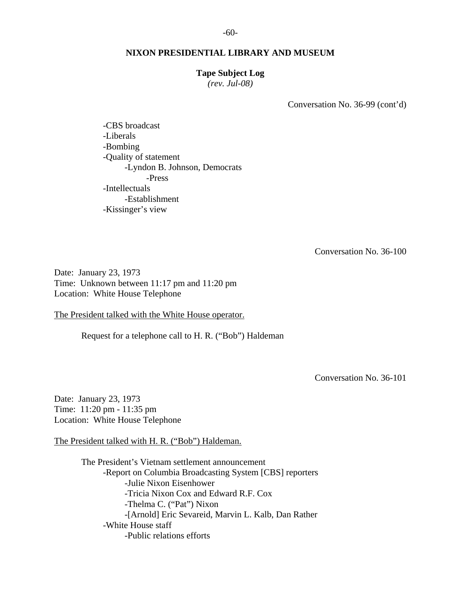#### **Tape Subject Log**

*(rev. Jul-08)* 

Conversation No. 36-99 (cont'd)

 -CBS broadcast -Liberals -Bombing -Quality of statement -Lyndon B. Johnson, Democrats -Press -Intellectuals -Establishment -Kissinger's view

Conversation No. 36-100

Date: January 23, 1973 Time: Unknown between 11:17 pm and 11:20 pm Location: White House Telephone

The President talked with the White House operator.

Request for a telephone call to H. R. ("Bob") Haldeman

Conversation No. 36-101

Date: January 23, 1973 Time: 11:20 pm - 11:35 pm Location: White House Telephone

The President talked with H. R. ("Bob") Haldeman.

 The President's Vietnam settlement announcement -Report on Columbia Broadcasting System [CBS] reporters -Julie Nixon Eisenhower -Tricia Nixon Cox and Edward R.F. Cox -Thelma C. ("Pat") Nixon -[Arnold] Eric Sevareid, Marvin L. Kalb, Dan Rather -White House staff -Public relations efforts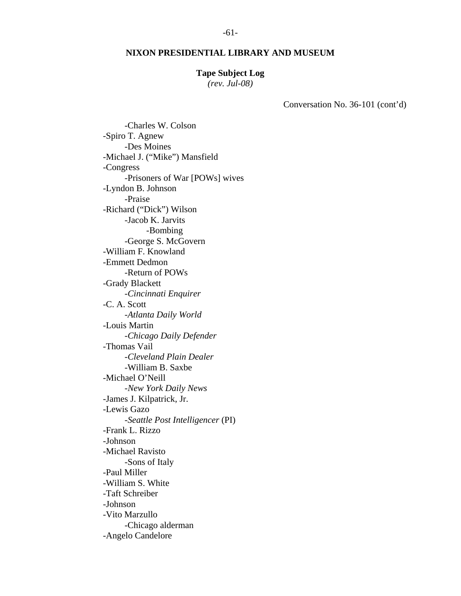#### **Tape Subject Log**

*(rev. Jul-08)* 

Conversation No. 36-101 (cont'd)

 -Charles W. Colson -Spiro T. Agnew -Des Moines -Michael J. ("Mike") Mansfield -Congress -Prisoners of War [POWs] wives -Lyndon B. Johnson -Praise -Richard ("Dick") Wilson -Jacob K. Jarvits -Bombing -George S. McGovern -William F. Knowland -Emmett Dedmon -Return of POWs -Grady Blackett -*Cincinnati Enquirer* -C. A. Scott -*Atlanta Daily World* -Louis Martin -*Chicago Daily Defender* -Thomas Vail -*Cleveland Plain Dealer* -William B. Saxbe -Michael O'Neill -*New York Daily News* -James J. Kilpatrick, Jr. -Lewis Gazo -*Seattle Post Intelligencer* (PI) -Frank L. Rizzo -Johnson -Michael Ravisto -Sons of Italy -Paul Miller -William S. White -Taft Schreiber -Johnson -Vito Marzullo -Chicago alderman -Angelo Candelore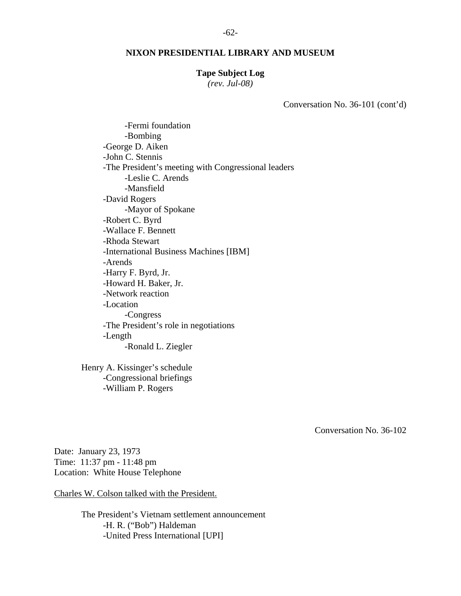#### **Tape Subject Log**

*(rev. Jul-08)* 

Conversation No. 36-101 (cont'd)

 -Fermi foundation -Bombing -George D. Aiken -John C. Stennis -The President's meeting with Congressional leaders -Leslie C. Arends -Mansfield -David Rogers -Mayor of Spokane -Robert C. Byrd -Wallace F. Bennett -Rhoda Stewart -International Business Machines [IBM] -Arends -Harry F. Byrd, Jr. -Howard H. Baker, Jr. -Network reaction -Location -Congress -The President's role in negotiations -Length -Ronald L. Ziegler

 Henry A. Kissinger's schedule -Congressional briefings -William P. Rogers

Conversation No. 36-102

Date: January 23, 1973 Time: 11:37 pm - 11:48 pm Location: White House Telephone

Charles W. Colson talked with the President.

 The President's Vietnam settlement announcement -H. R. ("Bob") Haldeman -United Press International [UPI]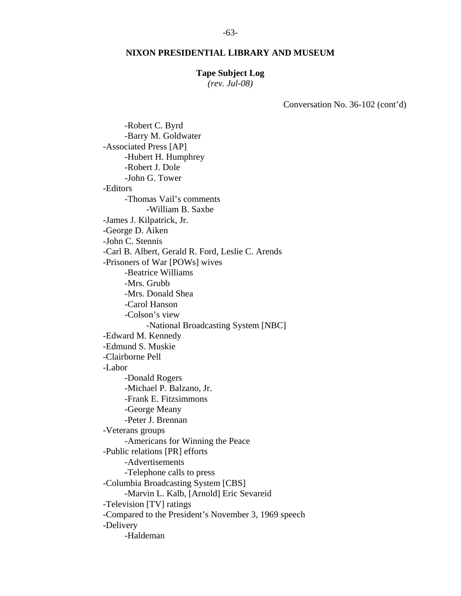#### **Tape Subject Log**

*(rev. Jul-08)* 

Conversation No. 36-102 (cont'd)

 -Robert C. Byrd -Barry M. Goldwater -Associated Press [AP] -Hubert H. Humphrey -Robert J. Dole -John G. Tower -Editors -Thomas Vail's comments -William B. Saxbe -James J. Kilpatrick, Jr. -George D. Aiken -John C. Stennis -Carl B. Albert, Gerald R. Ford, Leslie C. Arends -Prisoners of War [POWs] wives -Beatrice Williams -Mrs. Grubb -Mrs. Donald Shea -Carol Hanson -Colson's view -National Broadcasting System [NBC] -Edward M. Kennedy -Edmund S. Muskie -Clairborne Pell -Labor -Donald Rogers -Michael P. Balzano, Jr. -Frank E. Fitzsimmons -George Meany -Peter J. Brennan -Veterans groups -Americans for Winning the Peace -Public relations [PR] efforts -Advertisements -Telephone calls to press -Columbia Broadcasting System [CBS] -Marvin L. Kalb, [Arnold] Eric Sevareid -Television [TV] ratings -Compared to the President's November 3, 1969 speech -Delivery -Haldeman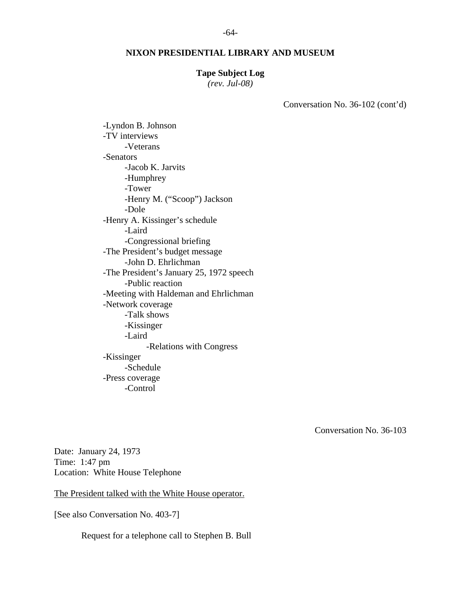#### **Tape Subject Log**

*(rev. Jul-08)* 

Conversation No. 36-102 (cont'd)

 -Lyndon B. Johnson -TV interviews -Veterans -Senators -Jacob K. Jarvits -Humphrey -Tower -Henry M. ("Scoop") Jackson -Dole -Henry A. Kissinger's schedule -Laird -Congressional briefing -The President's budget message -John D. Ehrlichman -The President's January 25, 1972 speech -Public reaction -Meeting with Haldeman and Ehrlichman -Network coverage -Talk shows -Kissinger -Laird -Relations with Congress -Kissinger -Schedule -Press coverage -Control

Conversation No. 36-103

Date: January 24, 1973 Time: 1:47 pm Location: White House Telephone

The President talked with the White House operator.

[See also Conversation No. 403-7]

Request for a telephone call to Stephen B. Bull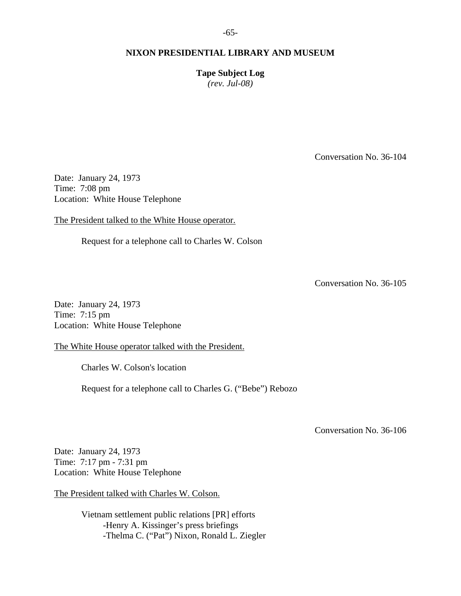**Tape Subject Log**  *(rev. Jul-08)* 

Conversation No. 36-104

Date: January 24, 1973 Time: 7:08 pm Location: White House Telephone

The President talked to the White House operator.

Request for a telephone call to Charles W. Colson

Conversation No. 36-105

Date: January 24, 1973 Time: 7:15 pm Location: White House Telephone

The White House operator talked with the President.

Charles W. Colson's location

Request for a telephone call to Charles G. ("Bebe") Rebozo

Conversation No. 36-106

Date: January 24, 1973 Time: 7:17 pm - 7:31 pm Location: White House Telephone

The President talked with Charles W. Colson.

 Vietnam settlement public relations [PR] efforts -Henry A. Kissinger's press briefings -Thelma C. ("Pat") Nixon, Ronald L. Ziegler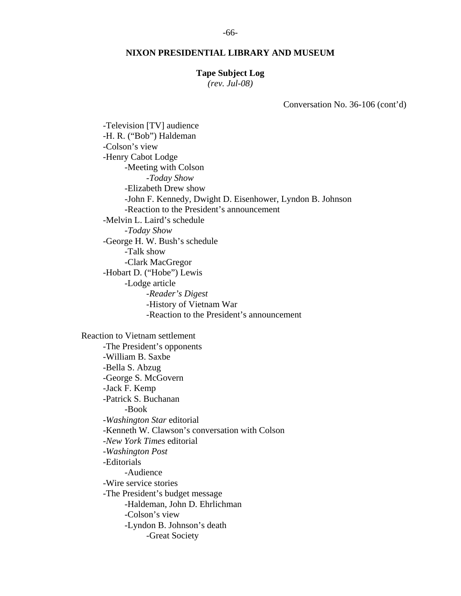#### **Tape Subject Log**

*(rev. Jul-08)* 

Conversation No. 36-106 (cont'd)

 -Television [TV] audience -H. R. ("Bob") Haldeman -Colson's view -Henry Cabot Lodge -Meeting with Colson -*Today Show* -Elizabeth Drew show -John F. Kennedy, Dwight D. Eisenhower, Lyndon B. Johnson -Reaction to the President's announcement -Melvin L. Laird's schedule -*Today Show* -George H. W. Bush's schedule -Talk show -Clark MacGregor -Hobart D. ("Hobe") Lewis -Lodge article -*Reader's Digest* -History of Vietnam War -Reaction to the President's announcement Reaction to Vietnam settlement -The President's opponents -William B. Saxbe -Bella S. Abzug -George S. McGovern -Jack F. Kemp -Patrick S. Buchanan -Book -*Washington Star* editorial -Kenneth W. Clawson's conversation with Colson -*New York Times* editorial -*Washington Post* -Editorials -Audience -Wire service stories -The President's budget message -Haldeman, John D. Ehrlichman -Colson's view -Lyndon B. Johnson's death -Great Society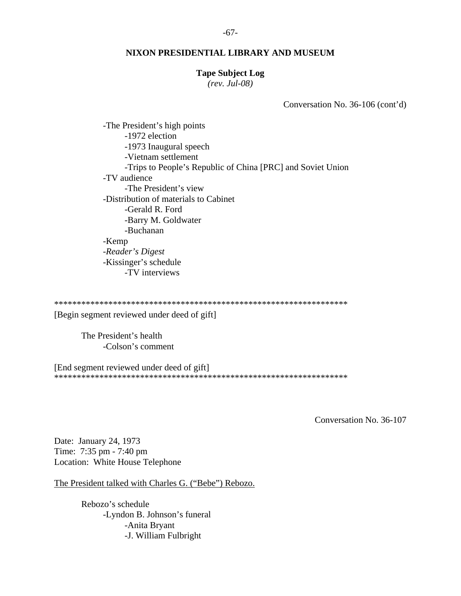#### -67-

#### **NIXON PRESIDENTIAL LIBRARY AND MUSEUM**

#### **Tape Subject Log**

*(rev. Jul-08)* 

Conversation No. 36-106 (cont'd)

 -The President's high points -1972 election -1973 Inaugural speech -Vietnam settlement -Trips to People's Republic of China [PRC] and Soviet Union -TV audience -The President's view -Distribution of materials to Cabinet -Gerald R. Ford -Barry M. Goldwater -Buchanan -Kemp -*Reader's Digest* -Kissinger's schedule -TV interviews

\*\*\*\*\*\*\*\*\*\*\*\*\*\*\*\*\*\*\*\*\*\*\*\*\*\*\*\*\*\*\*\*\*\*\*\*\*\*\*\*\*\*\*\*\*\*\*\*\*\*\*\*\*\*\*\*\*\*\*\*\*\*\*\*\*

[Begin segment reviewed under deed of gift]

 The President's health -Colson's comment

[End segment reviewed under deed of gift] \*\*\*\*\*\*\*\*\*\*\*\*\*\*\*\*\*\*\*\*\*\*\*\*\*\*\*\*\*\*\*\*\*\*\*\*\*\*\*\*\*\*\*\*\*\*\*\*\*\*\*\*\*\*\*\*\*\*\*\*\*\*\*\*\*

Conversation No. 36-107

Date: January 24, 1973 Time: 7:35 pm - 7:40 pm Location: White House Telephone

The President talked with Charles G. ("Bebe") Rebozo.

 Rebozo's schedule -Lyndon B. Johnson's funeral -Anita Bryant -J. William Fulbright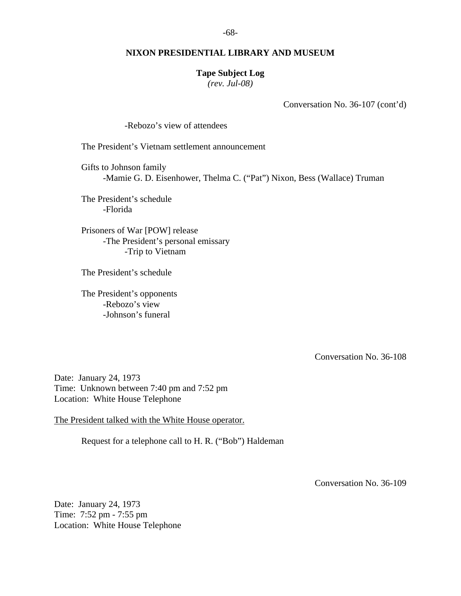#### **Tape Subject Log**

*(rev. Jul-08)* 

Conversation No. 36-107 (cont'd)

-Rebozo's view of attendees

The President's Vietnam settlement announcement

 Gifts to Johnson family -Mamie G. D. Eisenhower, Thelma C. ("Pat") Nixon, Bess (Wallace) Truman

 The President's schedule -Florida

 Prisoners of War [POW] release -The President's personal emissary -Trip to Vietnam

The President's schedule

 The President's opponents -Rebozo's view -Johnson's funeral

Conversation No. 36-108

Date: January 24, 1973 Time: Unknown between 7:40 pm and 7:52 pm Location: White House Telephone

The President talked with the White House operator.

Request for a telephone call to H. R. ("Bob") Haldeman

Conversation No. 36-109

Date: January 24, 1973 Time: 7:52 pm - 7:55 pm Location: White House Telephone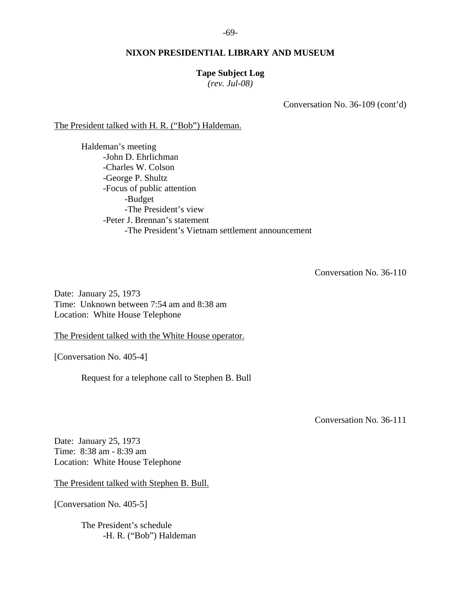-69-

## **NIXON PRESIDENTIAL LIBRARY AND MUSEUM**

#### **Tape Subject Log**

*(rev. Jul-08)* 

Conversation No. 36-109 (cont'd)

The President talked with H. R. ("Bob") Haldeman.

 Haldeman's meeting -John D. Ehrlichman -Charles W. Colson -George P. Shultz -Focus of public attention -Budget -The President's view -Peter J. Brennan's statement -The President's Vietnam settlement announcement

Conversation No. 36-110

Date: January 25, 1973 Time: Unknown between 7:54 am and 8:38 am Location: White House Telephone

The President talked with the White House operator.

[Conversation No. 405-4]

Request for a telephone call to Stephen B. Bull

Conversation No. 36-111

Date: January 25, 1973 Time: 8:38 am - 8:39 am Location: White House Telephone

The President talked with Stephen B. Bull.

[Conversation No. 405-5]

 The President's schedule -H. R. ("Bob") Haldeman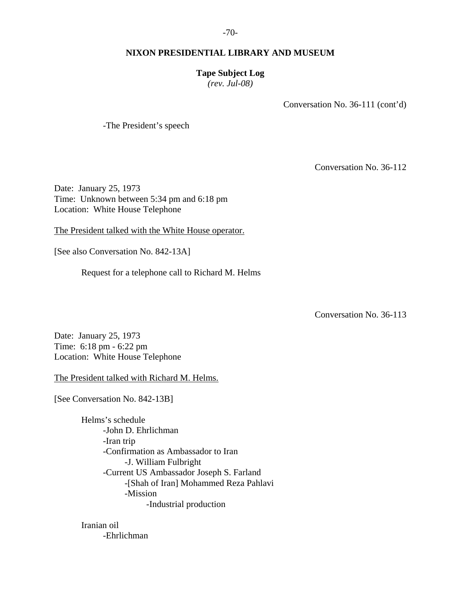## **Tape Subject Log**

*(rev. Jul-08)* 

Conversation No. 36-111 (cont'd)

-The President's speech

Conversation No. 36-112

Date: January 25, 1973 Time: Unknown between 5:34 pm and 6:18 pm Location: White House Telephone

The President talked with the White House operator.

[See also Conversation No. 842-13A]

Request for a telephone call to Richard M. Helms

Conversation No. 36-113

Date: January 25, 1973 Time: 6:18 pm - 6:22 pm Location: White House Telephone

The President talked with Richard M. Helms.

[See Conversation No. 842-13B]

 Helms's schedule -John D. Ehrlichman -Iran trip -Confirmation as Ambassador to Iran -J. William Fulbright -Current US Ambassador Joseph S. Farland -[Shah of Iran] Mohammed Reza Pahlavi -Mission -Industrial production

 Iranian oil -Ehrlichman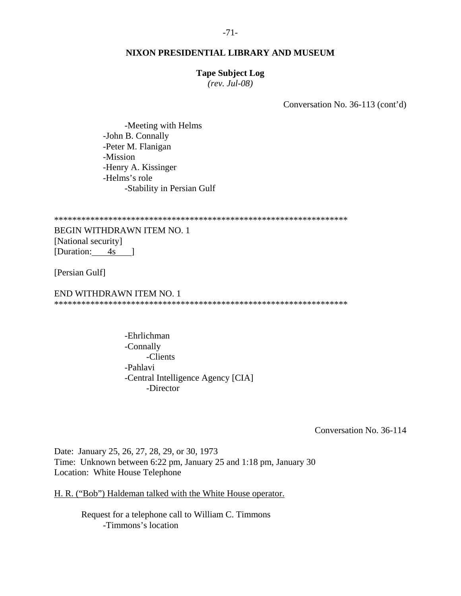#### **Tape Subject Log**

*(rev. Jul-08)* 

Conversation No. 36-113 (cont'd)

 -Meeting with Helms -John B. Connally -Peter M. Flanigan -Mission -Henry A. Kissinger -Helms's role -Stability in Persian Gulf

\*\*\*\*\*\*\*\*\*\*\*\*\*\*\*\*\*\*\*\*\*\*\*\*\*\*\*\*\*\*\*\*\*\*\*\*\*\*\*\*\*\*\*\*\*\*\*\*\*\*\*\*\*\*\*\*\*\*\*\*\*\*\*\*\*

BEGIN WITHDRAWN ITEM NO. 1 [National security] [Duration: 4s ]

[Persian Gulf]

END WITHDRAWN ITEM NO. 1 \*\*\*\*\*\*\*\*\*\*\*\*\*\*\*\*\*\*\*\*\*\*\*\*\*\*\*\*\*\*\*\*\*\*\*\*\*\*\*\*\*\*\*\*\*\*\*\*\*\*\*\*\*\*\*\*\*\*\*\*\*\*\*\*\*

> -Ehrlichman -Connally -Clients -Pahlavi -Central Intelligence Agency [CIA] -Director

> > Conversation No. 36-114

Date: January 25, 26, 27, 28, 29, or 30, 1973 Time: Unknown between 6:22 pm, January 25 and 1:18 pm, January 30 Location: White House Telephone

H. R. ("Bob") Haldeman talked with the White House operator.

 Request for a telephone call to William C. Timmons -Timmons's location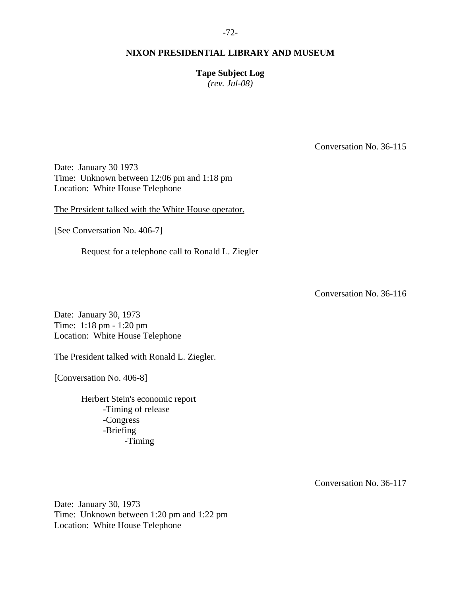**Tape Subject Log** 

*(rev. Jul-08)* 

Conversation No. 36-115

Date: January 30 1973 Time: Unknown between 12:06 pm and 1:18 pm Location: White House Telephone

The President talked with the White House operator.

[See Conversation No. 406-7]

Request for a telephone call to Ronald L. Ziegler

Conversation No. 36-116

Date: January 30, 1973 Time: 1:18 pm - 1:20 pm Location: White House Telephone

The President talked with Ronald L. Ziegler.

[Conversation No. 406-8]

 Herbert Stein's economic report -Timing of release -Congress -Briefing -Timing

Conversation No. 36-117

Date: January 30, 1973 Time: Unknown between 1:20 pm and 1:22 pm Location: White House Telephone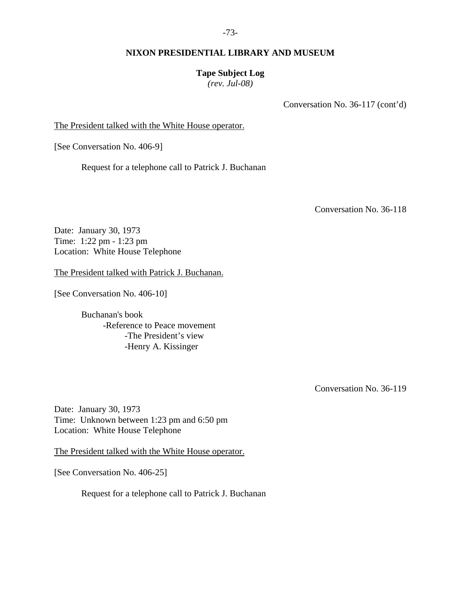## **Tape Subject Log**

*(rev. Jul-08)* 

Conversation No. 36-117 (cont'd)

The President talked with the White House operator.

[See Conversation No. 406-9]

Request for a telephone call to Patrick J. Buchanan

Conversation No. 36-118

Date: January 30, 1973 Time: 1:22 pm - 1:23 pm Location: White House Telephone

The President talked with Patrick J. Buchanan.

[See Conversation No. 406-10]

 Buchanan's book -Reference to Peace movement -The President's view -Henry A. Kissinger

Conversation No. 36-119

Date: January 30, 1973 Time: Unknown between 1:23 pm and 6:50 pm Location: White House Telephone

The President talked with the White House operator.

[See Conversation No. 406-25]

Request for a telephone call to Patrick J. Buchanan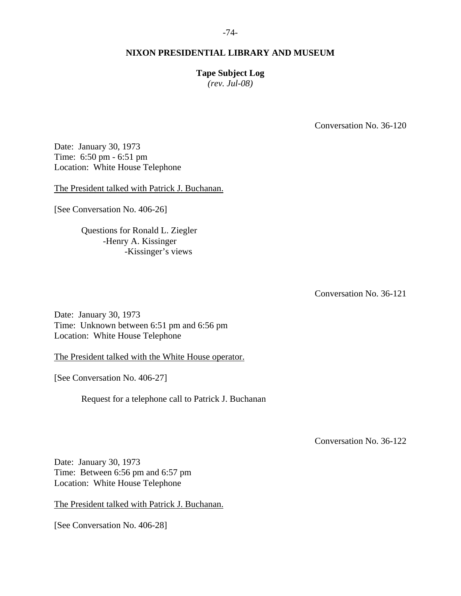# **Tape Subject Log**

*(rev. Jul-08)* 

Conversation No. 36-120

Date: January 30, 1973 Time: 6:50 pm - 6:51 pm Location: White House Telephone

The President talked with Patrick J. Buchanan.

[See Conversation No. 406-26]

 Questions for Ronald L. Ziegler -Henry A. Kissinger -Kissinger's views

Conversation No. 36-121

Date: January 30, 1973 Time: Unknown between 6:51 pm and 6:56 pm Location: White House Telephone

The President talked with the White House operator.

[See Conversation No. 406-27]

Request for a telephone call to Patrick J. Buchanan

Conversation No. 36-122

Date: January 30, 1973 Time: Between 6:56 pm and 6:57 pm Location: White House Telephone

The President talked with Patrick J. Buchanan.

[See Conversation No. 406-28]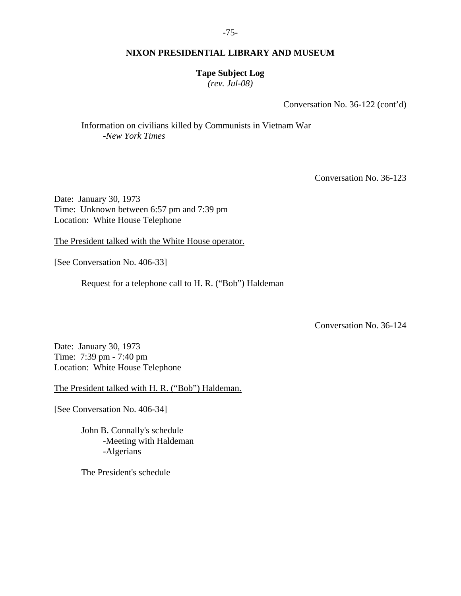## **Tape Subject Log**

*(rev. Jul-08)* 

Conversation No. 36-122 (cont'd)

 Information on civilians killed by Communists in Vietnam War -*New York Times*

Conversation No. 36-123

Date: January 30, 1973 Time: Unknown between 6:57 pm and 7:39 pm Location: White House Telephone

The President talked with the White House operator.

[See Conversation No. 406-33]

Request for a telephone call to H. R. ("Bob") Haldeman

Conversation No. 36-124

Date: January 30, 1973 Time: 7:39 pm - 7:40 pm Location: White House Telephone

The President talked with H. R. ("Bob") Haldeman.

[See Conversation No. 406-34]

 John B. Connally's schedule -Meeting with Haldeman -Algerians

The President's schedule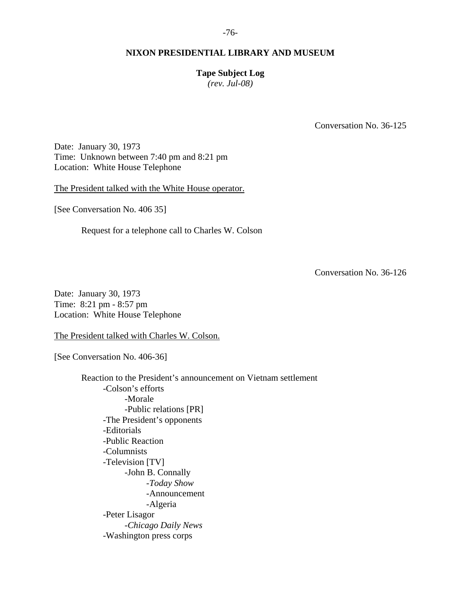## **Tape Subject Log**

*(rev. Jul-08)* 

Conversation No. 36-125

Date: January 30, 1973 Time: Unknown between 7:40 pm and 8:21 pm Location: White House Telephone

The President talked with the White House operator.

[See Conversation No. 406 35]

Request for a telephone call to Charles W. Colson

Conversation No. 36-126

Date: January 30, 1973 Time: 8:21 pm - 8:57 pm Location: White House Telephone

The President talked with Charles W. Colson.

[See Conversation No. 406-36]

 Reaction to the President's announcement on Vietnam settlement -Colson's efforts -Morale -Public relations [PR] -The President's opponents -Editorials -Public Reaction -Columnists -Television [TV] -John B. Connally -*Today Show* -Announcement -Algeria -Peter Lisagor -*Chicago Daily News* -Washington press corps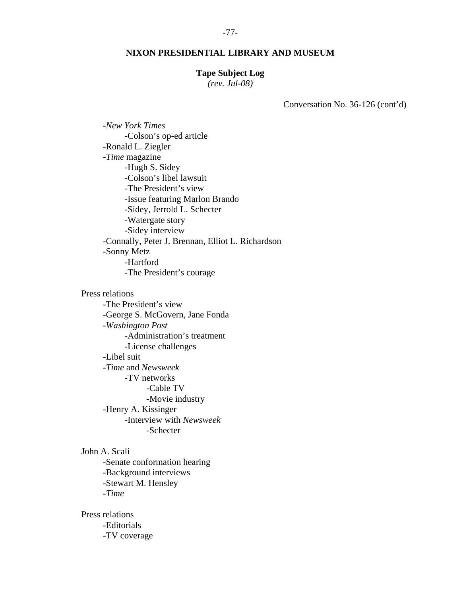#### **Tape Subject Log**

*(rev. Jul-08)* 

Conversation No. 36-126 (cont'd)

 -*New York Times* -Colson's op-ed article -Ronald L. Ziegler -*Time* magazine -Hugh S. Sidey -Colson's libel lawsuit -The President's view -Issue featuring Marlon Brando -Sidey, Jerrold L. Schecter -Watergate story -Sidey interview -Connally, Peter J. Brennan, Elliot L. Richardson -Sonny Metz -Hartford -The President's courage Press relations -The President's view -George S. McGovern, Jane Fonda -*Washington Post* -Administration's treatment -License challenges -Libel suit -*Time* and *Newsweek* -TV networks -Cable TV

-Movie industry

 -Henry A. Kissinger -Interview with *Newsweek*

-Schecter

John A. Scali

 -Senate conformation hearing -Background interviews -Stewart M. Hensley -*Time*

 Press relations -Editorials -TV coverage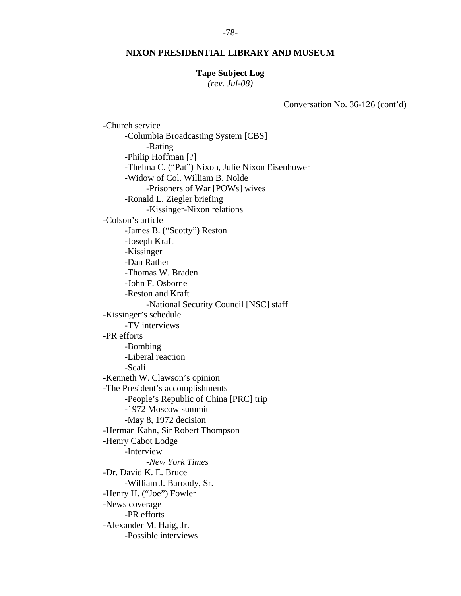#### -78-

#### **NIXON PRESIDENTIAL LIBRARY AND MUSEUM**

#### **Tape Subject Log**

*(rev. Jul-08)* 

Conversation No. 36-126 (cont'd)

 -Church service -Columbia Broadcasting System [CBS] -Rating -Philip Hoffman [?] -Thelma C. ("Pat") Nixon, Julie Nixon Eisenhower -Widow of Col. William B. Nolde -Prisoners of War [POWs] wives -Ronald L. Ziegler briefing -Kissinger-Nixon relations -Colson's article -James B. ("Scotty") Reston -Joseph Kraft -Kissinger -Dan Rather -Thomas W. Braden -John F. Osborne -Reston and Kraft -National Security Council [NSC] staff -Kissinger's schedule -TV interviews -PR efforts -Bombing -Liberal reaction -Scali -Kenneth W. Clawson's opinion -The President's accomplishments -People's Republic of China [PRC] trip -1972 Moscow summit -May 8, 1972 decision -Herman Kahn, Sir Robert Thompson -Henry Cabot Lodge -Interview -*New York Times* -Dr. David K. E. Bruce -William J. Baroody, Sr. -Henry H. ("Joe") Fowler -News coverage -PR efforts -Alexander M. Haig, Jr. -Possible interviews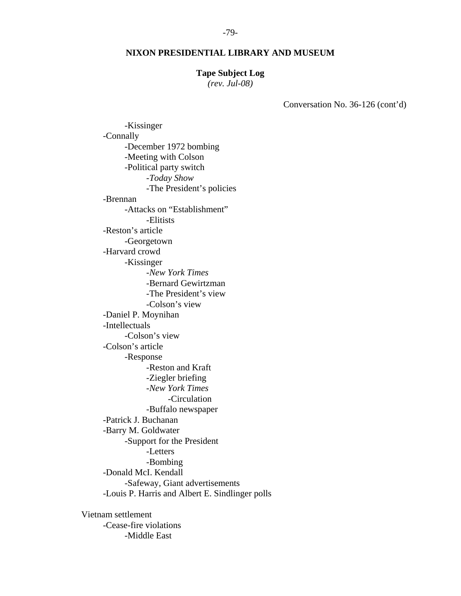#### **Tape Subject Log**

*(rev. Jul-08)* 

Conversation No. 36-126 (cont'd)

 -Kissinger -Connally -December 1972 bombing -Meeting with Colson -Political party switch -*Today Show* -The President's policies -Brennan -Attacks on "Establishment" -Elitists -Reston's article -Georgetown -Harvard crowd -Kissinger -*New York Times* -Bernard Gewirtzman -The President's view -Colson's view -Daniel P. Moynihan -Intellectuals -Colson's view -Colson's article -Response -Reston and Kraft -Ziegler briefing -*New York Times* -Circulation -Buffalo newspaper -Patrick J. Buchanan -Barry M. Goldwater -Support for the President -Letters -Bombing -Donald McI. Kendall -Safeway, Giant advertisements -Louis P. Harris and Albert E. Sindlinger polls Vietnam settlement

 -Cease-fire violations -Middle East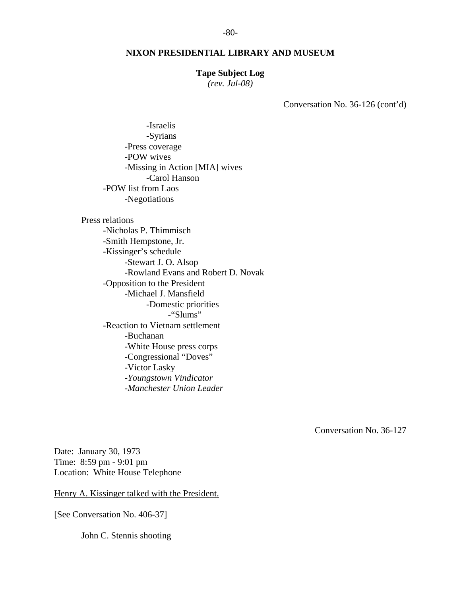#### **Tape Subject Log**

*(rev. Jul-08)* 

Conversation No. 36-126 (cont'd)

 -Israelis -Syrians -Press coverage -POW wives -Missing in Action [MIA] wives -Carol Hanson -POW list from Laos -Negotiations

 Press relations -Nicholas P. Thimmisch -Smith Hempstone, Jr. -Kissinger's schedule -Stewart J. O. Alsop -Rowland Evans and Robert D. Novak -Opposition to the President -Michael J. Mansfield -Domestic priorities -"Slums" -Reaction to Vietnam settlement -Buchanan -White House press corps -Congressional "Doves" -Victor Lasky -*Youngstown Vindicator* -*Manchester Union Leader*

Conversation No. 36-127

Date: January 30, 1973 Time: 8:59 pm - 9:01 pm Location: White House Telephone

Henry A. Kissinger talked with the President.

[See Conversation No. 406-37]

John C. Stennis shooting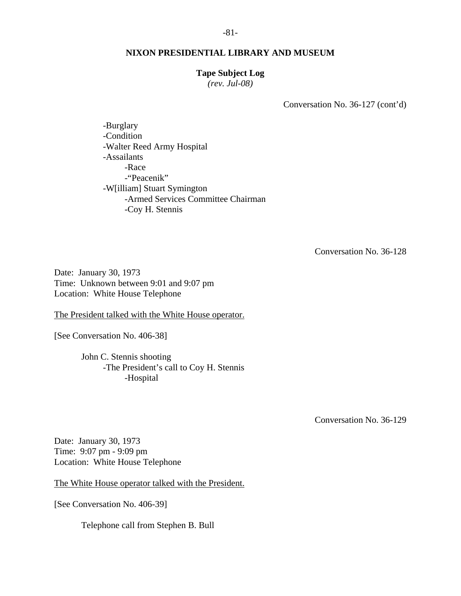#### **Tape Subject Log**

*(rev. Jul-08)* 

Conversation No. 36-127 (cont'd)

 -Burglary -Condition -Walter Reed Army Hospital -Assailants -Race -"Peacenik" -W[illiam] Stuart Symington -Armed Services Committee Chairman -Coy H. Stennis

Conversation No. 36-128

Date: January 30, 1973 Time: Unknown between 9:01 and 9:07 pm Location: White House Telephone

The President talked with the White House operator.

[See Conversation No. 406-38]

 John C. Stennis shooting -The President's call to Coy H. Stennis -Hospital

Conversation No. 36-129

Date: January 30, 1973 Time: 9:07 pm - 9:09 pm Location: White House Telephone

The White House operator talked with the President.

[See Conversation No. 406-39]

Telephone call from Stephen B. Bull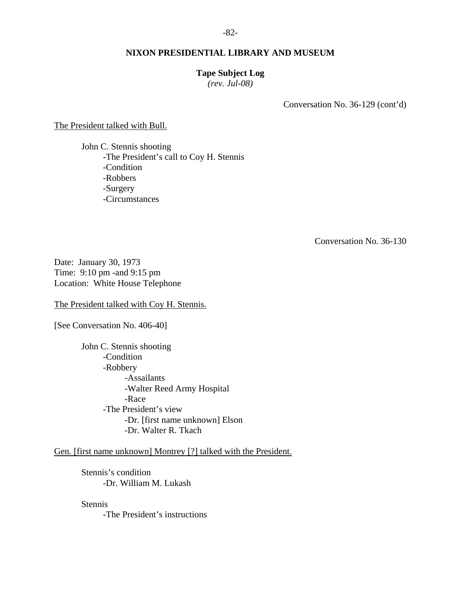## **Tape Subject Log**

*(rev. Jul-08)* 

Conversation No. 36-129 (cont'd)

The President talked with Bull.

 John C. Stennis shooting -The President's call to Coy H. Stennis -Condition -Robbers -Surgery -Circumstances

Conversation No. 36-130

Date: January 30, 1973 Time: 9:10 pm -and 9:15 pm Location: White House Telephone

The President talked with Coy H. Stennis.

[See Conversation No. 406-40]

 John C. Stennis shooting -Condition -Robbery -Assailants -Walter Reed Army Hospital -Race -The President's view -Dr. [first name unknown] Elson -Dr. Walter R. Tkach

Gen. [first name unknown] Montrey [?] talked with the President.

 Stennis's condition -Dr. William M. Lukash

Stennis

-The President's instructions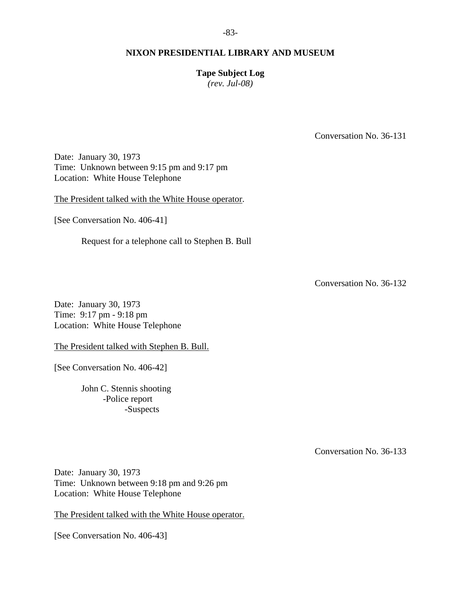## **Tape Subject Log**

*(rev. Jul-08)* 

Conversation No. 36-131

Date: January 30, 1973 Time: Unknown between 9:15 pm and 9:17 pm Location: White House Telephone

The President talked with the White House operator.

[See Conversation No. 406-41]

Request for a telephone call to Stephen B. Bull

Conversation No. 36-132

Date: January 30, 1973 Time: 9:17 pm - 9:18 pm Location: White House Telephone

The President talked with Stephen B. Bull.

[See Conversation No. 406-42]

 John C. Stennis shooting -Police report -Suspects

Conversation No. 36-133

Date: January 30, 1973 Time: Unknown between 9:18 pm and 9:26 pm Location: White House Telephone

The President talked with the White House operator.

[See Conversation No. 406-43]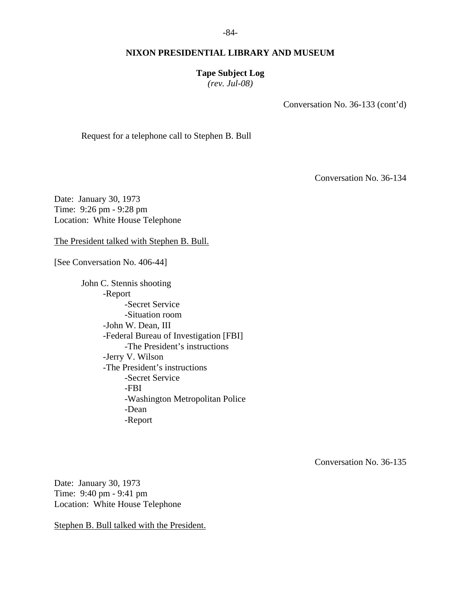### **Tape Subject Log**

*(rev. Jul-08)* 

Conversation No. 36-133 (cont'd)

Request for a telephone call to Stephen B. Bull

Conversation No. 36-134

Date: January 30, 1973 Time: 9:26 pm - 9:28 pm Location: White House Telephone

The President talked with Stephen B. Bull.

[See Conversation No. 406-44]

 John C. Stennis shooting -Report -Secret Service -Situation room -John W. Dean, III -Federal Bureau of Investigation [FBI] -The President's instructions -Jerry V. Wilson -The President's instructions -Secret Service -FBI -Washington Metropolitan Police -Dean -Report

Conversation No. 36-135

Date: January 30, 1973 Time: 9:40 pm - 9:41 pm Location: White House Telephone

Stephen B. Bull talked with the President.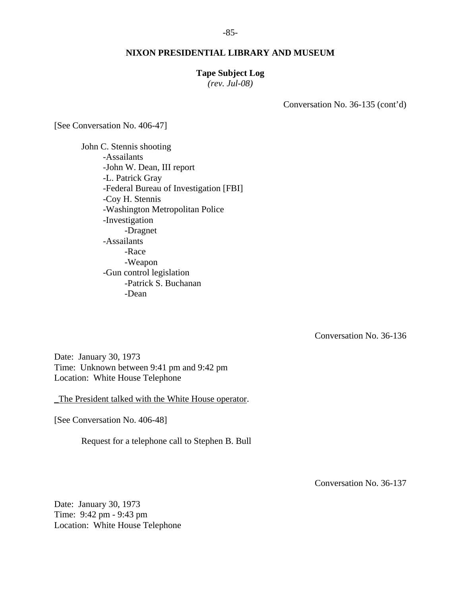#### **Tape Subject Log**

*(rev. Jul-08)* 

Conversation No. 36-135 (cont'd)

[See Conversation No. 406-47]

 John C. Stennis shooting -Assailants -John W. Dean, III report -L. Patrick Gray -Federal Bureau of Investigation [FBI] -Coy H. Stennis -Washington Metropolitan Police -Investigation -Dragnet -Assailants -Race -Weapon -Gun control legislation -Patrick S. Buchanan -Dean

Conversation No. 36-136

Date: January 30, 1973 Time: Unknown between 9:41 pm and 9:42 pm Location: White House Telephone

\_The President talked with the White House operator.

[See Conversation No. 406-48]

Request for a telephone call to Stephen B. Bull

Conversation No. 36-137

Date: January 30, 1973 Time: 9:42 pm - 9:43 pm Location: White House Telephone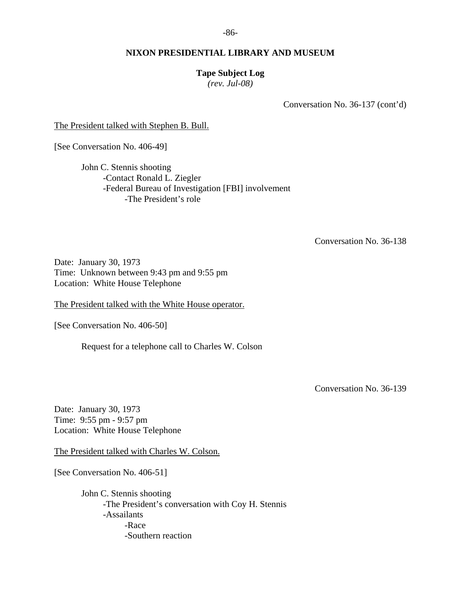-86-

## **NIXON PRESIDENTIAL LIBRARY AND MUSEUM**

# **Tape Subject Log**

*(rev. Jul-08)* 

Conversation No. 36-137 (cont'd)

The President talked with Stephen B. Bull.

[See Conversation No. 406-49]

 John C. Stennis shooting -Contact Ronald L. Ziegler -Federal Bureau of Investigation [FBI] involvement -The President's role

Conversation No. 36-138

Date: January 30, 1973 Time: Unknown between 9:43 pm and 9:55 pm Location: White House Telephone

The President talked with the White House operator.

[See Conversation No. 406-50]

Request for a telephone call to Charles W. Colson

Conversation No. 36-139

Date: January 30, 1973 Time: 9:55 pm - 9:57 pm Location: White House Telephone

The President talked with Charles W. Colson.

[See Conversation No. 406-51]

 John C. Stennis shooting -The President's conversation with Coy H. Stennis -Assailants -Race -Southern reaction